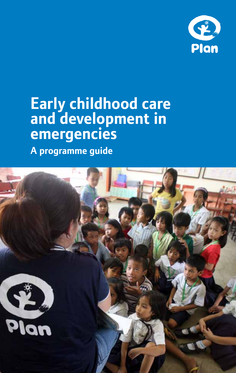

# **Early childhood care and development in emergencies**

**A programme guide**

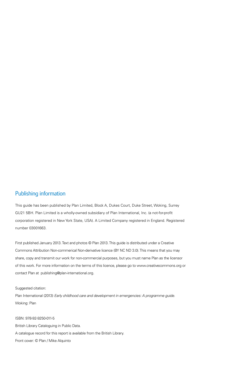### Publishing information

This guide has been published by Plan Limited, Block A, Dukes Court, Duke Street, Woking, Surrey GU21 5BH. Plan Limited is a wholly-owned subsidiary of Plan International, Inc. (a not-for-profit corporation registered in New York State, USA). A Limited Company registered in England. Registered number 03001663.

First published January 2013. Text and photos © Plan 2013. This guide is distributed under a Creative Commons Attribution Non-commerical Non-derivative licence (BY NC ND 3.0). This means that you may share, copy and transmit our work for non-commercial purposes, but you must name Plan as the licensor of this work. For more information on the terms of this licence, please go to www.creativecommons.org or contact Plan at publishing@plan-international.org.

#### Suggested citation:

Plan International (2013) *Early childhood care and development in emergencies: A programme guide.* Woking: Plan

ISBN: 978-92-9250-011-5 British Library Cataloguing in Public Data. A catalogue record for this report is available from the British Library. Front cover: © Plan / Mike Alquinto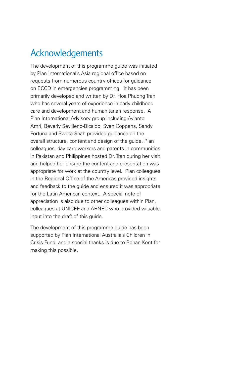## Acknowledgements

The development of this programme guide was initiated by Plan International's Asia regional office based on requests from numerous country offices for guidance on ECCD in emergencies programming. It has been primarily developed and written by Dr. Hoa Phuong Tran who has several years of experience in early childhood care and development and humanitarian response. A Plan International Advisory group including Avianto Amri, Beverly Sevilleno-Bicaldo, Sven Coppens, Sandy Fortuna and Sweta Shah provided guidance on the overall structure, content and design of the guide. Plan colleagues, day care workers and parents in communities in Pakistan and Philippines hosted Dr. Tran during her visit and helped her ensure the content and presentation was appropriate for work at the country level. Plan colleagues in the Regional Office of the Americas provided insights and feedback to the guide and ensured it was appropriate for the Latin American context. A special note of appreciation is also due to other colleagues within Plan, colleagues at UNICEF and ARNEC who provided valuable input into the draft of this guide.

The development of this programme guide has been supported by Plan International Australia's Children in Crisis Fund, and a special thanks is due to Rohan Kent for making this possible.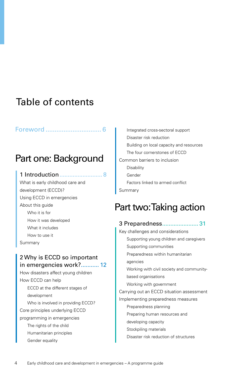## Table of contents

### Foreword [...............................](#page-5-0) 6

## Part one: Background

### [1 Introduction..........................](#page-7-0) 8

What is early childhood care and development (ECCD)? Using ECCD in emergencies About this guide Who it is for How it was developed What it includes How to use it Summary

### [2 Why is ECCD so important](#page-11-0)  [in emergencies work?...........](#page-11-0) 12

How disasters affect young children How ECCD can help ECCD at the different stages of development Who is involved in providing ECCD? Core principles underlying ECCD programming in emergencies The rights of the child Humanitarian principles Gender equality

Integrated cross-sectoral support Disaster risk reduction Building on local capacity and resources The four cornerstones of ECCD Common barriers to inclusion Disability Gender Factors linked to armed conflict Summary

## Part two: Taking action

| 3 Preparedness 31                         |
|-------------------------------------------|
| Key challenges and considerations         |
| Supporting young children and caregivers  |
| Supporting communities                    |
| Preparedness within humanitarian          |
| agencies                                  |
| Working with civil society and community- |
| based organisations                       |
| Working with government                   |
| Carrying out an ECCD situation assessment |
| Implementing preparedness measures        |
| Preparedness planning                     |
| Preparing human resources and             |
| developing capacity                       |
| Stockpiling materials                     |
| Disaster risk reduction of structures     |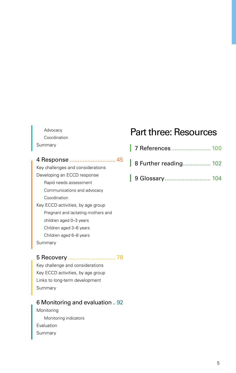### Advocacy Coordination Summary

### 4 Response [............................](#page-44-0) 45

Key challenges and considerations Developing an ECCD response Rapid needs assessment Communications and advocacy Coordination Key ECCD activities, by age group Pregnant and lactating mothers and children aged 0–3 years Children aged 3–6 years Children aged 6–8 years Summary

### 5 Recovery [.............................](#page-77-0) 78

Key challenge and considerations Key ECCD activities, by age group Links to long-term development Summary

### [6 Monitoring and evaluation..](#page-91-0) 92

Monitoring Monitoring indicators Evaluation Summary

## Part three: Resources

- [8 Further reading.................](#page-101-0) 102
- L [9 Glossary............................](#page-103-0) 104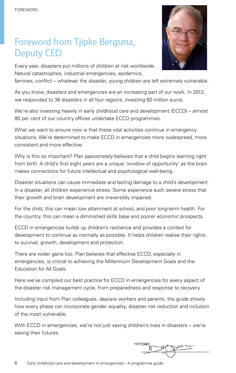## <span id="page-5-0"></span>Foreword from Tjipke Bergsma, Deputy CEO

Every year, disasters put millions of children at risk worldwide. Natural catastrophes, industrial emergencies, epidemics,



famines, conflict – whatever the disaster, young children are left extremely vulnerable.

As you know, disasters and emergencies are an increasing part of our work. In 2012, we responded to 36 disasters in all four regions, investing 60 million euros.

We're also investing heavily in early childhood care and development (ECCD) – almost 80 per cent of our country offices undertake ECCD programmes.

What we want to ensure now is that these vital activities continue in emergency situations. We're determined to make ECCD in emergencies more widespread, more consistent and more effective.

Why is this so important? Plan passionately believes that a child begins learning right from birth. A child's first eight years are a unique 'window of opportunity' as the brain makes connections for future intellectual and psychological well-being.

Disaster situations can cause immediate and lasting damage to a child's development. In a disaster, all children experience stress. Some experience such severe stress that their growth and brain development are irreversibly impaired.

For the child, this can mean low attainment at school, and poor long-term health. For the country, this can mean a diminished skills base and poorer economic prospects.

ECCD in emergencies builds up children's resilience and provides a context for development to continue as normally as possible. It helps children realise their rights to survival, growth, development and protection.

There are wider gains too. Plan believes that effective ECCD, especially in emergencies, is critical to achieving the Millennium Development Goals and the Education for All Goals.

Here we've compiled our best practice for ECCD in emergencies for every aspect of the disaster risk management cycle, from preparedness and response to recovery.

Including input from Plan colleagues, daycare workers and parents, the guide shows how every phase can incorporate gender equality, disaster risk reduction and inclusion of the most vulnerable.

With ECCD in emergencies, we're not just saving children's lives in disasters – we're saving their futures.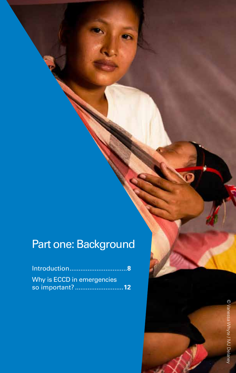# <span id="page-6-0"></span>Part one: Background

| Introduction8                     |
|-----------------------------------|
| Why is <b>ECCD</b> in emergencies |
| so important? 12                  |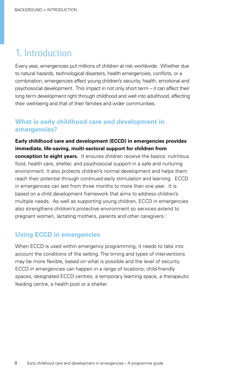## <span id="page-7-0"></span>1. Introduction

Every year, emergencies put millions of children at risk worldwide. Whether due to natural hazards, technological disasters, health emergencies, conflicts, or a combination, emergencies affect young children's security, health, emotional and psychosocial development. This impact in not only short term – it can affect their long term development right through childhood and well into adulthood, affecting their well-being and that of their families and wider communities.

### **What is early childhood care and development in emergencies?**

### **Early childhood care and development (ECCD) in emergencies provides immediate, life-saving, multi-sectoral support for children from**

**conception to eight years.** It ensures children receive the basics: nutritious food, health care, shelter, and psychosocial support in a safe and nurturing environment. It also protects children's normal development and helps them reach their potential through continued early stimulation and learning. ECCD in emergencies can last from three months to more than one year. It is based on a child development framework that aims to address children's multiple needs. As well as supporting young children, ECCD in emergencies also strengthens children's protective environment so services extend to pregnant women, lactating mothers, parents and other caregivers[.1](#page-99-1)

### **Using ECCD in emergencies**

When ECCD is used within emergency programming, it needs to take into account the conditions of the setting. The timing and types of interventions may be more flexible, based on what is possible and the level of security. ECCD in emergencies can happen in a range of locations: child-friendly spaces, designated ECCD centres, a temporary learning space, a therapeutic feeding centre, a health post or a shelter.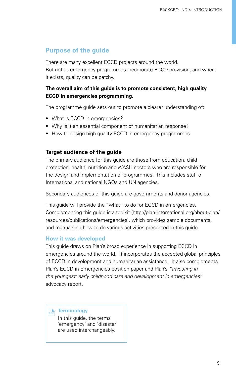### **Purpose of the guide**

There are many excellent ECCD projects around the world. But not all emergency programmes incorporate ECCD provision, and where it exists, quality can be patchy.

### **The overall aim of this guide is to promote consistent, high quality ECCD in emergencies programming.**

The programme guide sets out to promote a clearer understanding of:

- What is ECCD in emergencies?
- Why is it an essential component of humanitarian response?
- How to design high quality ECCD in emergency programmes.

### **Target audience of the guide**

The primary audience for this guide are those from education, child protection, health, nutrition and WASH sectors who are responsible for the design and implementation of programmes. This includes staff of International and national NGOs and UN agencies.

Secondary audiences of this guide are governments and donor agencies.

This guide will provide the "what" to do for ECCD in emergencies. Complementing this guide is a toolkit (http://plan-international.org/about-plan/ resources/publications/emergencies), which provides sample documents, and manuals on how to do various activities presented in this guide.

### **How it was developed**

This guide draws on Plan's broad experience in supporting ECCD in emergencies around the world. It incorporates the accepted global principles of ECCD in development and humanitarian assistance. It also complements Plan's ECCD in Emergencies position paper and Plan's *"Investing in the youngest: early childhood care and development in emergencies*" advocacy report.

### **Ref** Terminology

In this guide, the terms 'emergency' and 'disaster' are used interchangeably.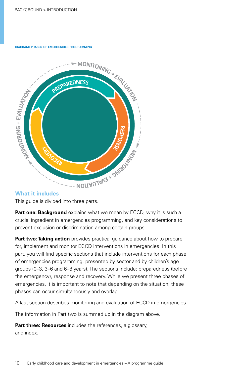**diagram: phases of emergencies programming**



### **What it includes**

This guide is divided into three parts.

**[Part one: Background](#page-6-0)** explains what we mean by ECCD, why it is such a crucial ingredient in emergencies programming, and key considerations to prevent exclusion or discrimination among certain groups.

**[Part two: Taking action](#page-30-1)** provides practical guidance about how to prepare<br>for, implement and monitor ECCD interventions in emergencies. In this<br>part, you will find specific sections that include interventions for each pha for, implement and monitor ECCD interventions in emergencies. In this part, you will find specific sections that include interventions for each phase of emergencies programming, presented by sector and by children's age groups (0–3, 3–6 and 6–8 years). The sections include: preparedness (before groups (0–3, 3–6 and 6–8 years). The sections include: preparedness (before<br>the emergency), response and recovery. While we present three phases of emergencies, it is important to note that depending on the situation, these **T O** phases can occur simultaneously and overlap. Finally state in the diagram is the diagram above phases can occur simultaneously and overlap.<br>
A last section describes monitoring and evaluation of ECCD in er<br>
The information in Part two is summed up in the diagram abov **<sup>M</sup>ONITORIN<sup>G</sup> <sup>+</sup> <sup>E</sup>VALUAT<sup>I</sup>O<sup>N</sup> +**

A last section describes monitoring and evaluation of ECCD in emergencies. **P**riap.<br>Praluati<br>**p** in the

**Part three: Resources** includes the references, a glossary,<br>and index. and index.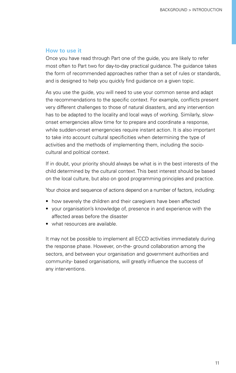### **How to use it**

Once you have read through Part one of the guide, you are likely to refer most often to Part two for day-to-day practical guidance. The guidance takes the form of recommended approaches rather than a set of rules or standards, and is designed to help you quickly find guidance on a given topic.

As you use the guide, you will need to use your common sense and adapt the recommendations to the specific context. For example, conflicts present very different challenges to those of natural disasters, and any intervention has to be adapted to the locality and local ways of working. Similarly, slowonset emergencies allow time for to prepare and coordinate a response, while sudden-onset emergencies require instant action. It is also important to take into account cultural specificities when determining the type of activities and the methods of implementing them, including the sociocultural and political context.

If in doubt, your priority should always be what is in the best interests of the child determined by the cultural context. This best interest should be based on the local culture, but also on good programming principles and practice.

Your choice and sequence of actions depend on a number of factors, including:

- how severely the children and their caregivers have been affected
- your organisation's knowledge of, presence in and experience with the affected areas before the disaster
- what resources are available.

It may not be possible to implement all ECCD activities immediately during the response phase. However, on-the- ground collaboration among the sectors, and between your organisation and government authorities and community- based organisations, will greatly influence the success of any interventions.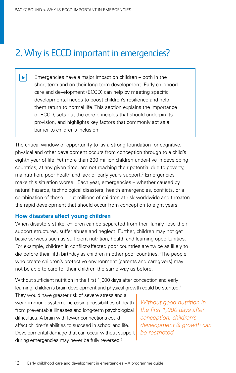## <span id="page-11-0"></span>2. Why is ECCD important in emergencies?

Emergencies have a major impact on children – both in the  $\blacktriangleright$ short term and on their long-term development. Early childhood care and development (ECCD) can help by meeting specific developmental needs to boost children's resilience and help them return to normal life. This section explains the importance of ECCD, sets out the core principles that should underpin its provision, and highlights key factors that commonly act as a barrier to children's inclusion.

The critical window of opportunity to lay a strong foundation for cognitive, physical and other development occurs from conception through to a child's eighth year of life. Yet more than 200 million children under-five in developing countries, at any given time, are not reaching their potential due to poverty, malnutrition, poor health and lack of early years support[.2](#page-99-2) Emergencies make this situation worse. Each year, emergencies – whether caused by natural hazards, technological disasters, health emergencies, conflicts, or a combination of these – put millions of children at risk worldwide and threaten the rapid development that should occur from conception to eight years.

### **How disasters affect young children**

When disasters strike, children can be separated from their family, lose their support structures, suffer abuse and neglect. Further, children may not get basic services such as sufficient nutrition, health and learning opportunities. For example, children in conflict-affected poor countries are twice as likely to die before their fifth birthday as children in other poor countries.<sup>[3](#page-99-3)</sup> The people who create children's protective environment (parents and caregivers) may not be able to care for their children the same way as before.

Without sufficient nutrition in the first 1,000 days after conception and early learning, children's brain development and physical growth could be stunted.<sup>[4](#page-99-4)</sup>

They would have greater risk of severe stress and a weak immune system, increasing possibilities of death from preventable illnesses and long-term psychological difficulties. A brain with fewer connections could affect children's abilities to succeed in school and life. Developmental damage that can occur without support during emergencies may never be fully reversed.<sup>5</sup>

*Without good nutrition in the first 1,000 days after conception, children's development & growth can be restricted*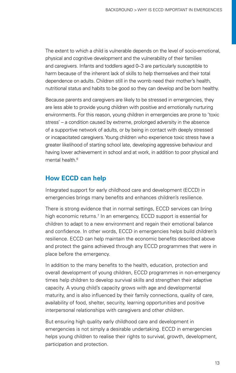The extent to which a child is vulnerable depends on the level of socio-emotional, physical and cognitive development and the vulnerability of their families and caregivers. Infants and toddlers aged 0–3 are particularly susceptible to harm because of the inherent lack of skills to help themselves and their total dependence on adults. Children still in the womb need their mother's health, nutritional status and habits to be good so they can develop and be born healthy.

Because parents and caregivers are likely to be stressed in emergencies, they are less able to provide young children with positive and emotionally nurturing environments. For this reason, young children in emergencies are prone to 'toxic stress' – a condition caused by extreme, prolonged adversity in the absence of a supportive network of adults, or by being in contact with deeply stressed or incapacitated caregivers. Young children who experience toxic stress have a greater likelihood of starting school late, developing aggressive behaviour and having lower achievement in school and at work, in addition to poor physical and mental health  $6$ 

### **How ECCD can help**

Integrated support for early childhood care and development (ECCD) in emergencies brings many benefits and enhances children's resilience.

There is strong evidence that in normal settings, ECCD services can bring high economic returns.<sup>7</sup> In an emergency, ECCD support is essential for children to adapt to a new environment and regain their emotional balance and confidence. In other words, ECCD in emergencies helps build children's resilience. ECCD can help maintain the economic benefits described above and protect the gains achieved through any ECCD programmes that were in place before the emergency.

In addition to the many benefits to the health, education, protection and overall development of young children, ECCD programmes in non-emergency times help children to develop survival skills and strengthen their adaptive capacity. A young child's capacity grows with age and developmental maturity, and is also influenced by their family connections, quality of care, availability of food, shelter, security, learning opportunities and positive interpersonal relationships with caregivers and other children.

But ensuring high quality early childhood care and development in emergencies is not simply a desirable undertaking. ECCD in emergencies helps young children to realise their rights to survival, growth, development, participation and protection.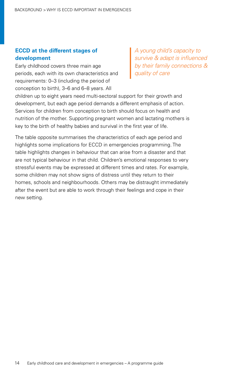### **ECCD at the different stages of development**

Early childhood covers three main age periods, each with its own characteristics and requirements: 0–3 (including the period of conception to birth), 3–6 and 6–8 years. All

*A young child's capacity to survive & adapt is influenced by their family connections & quality of care*

children up to eight years need multi-sectoral support for their growth and development, but each age period demands a different emphasis of action. Services for children from conception to birth should focus on health and nutrition of the mother. Supporting pregnant women and lactating mothers is key to the birth of healthy babies and survival in the first year of life.

The table opposite summarises the characteristics of each age period and highlights some implications for ECCD in emergencies programming. The table highlights changes in behaviour that can arise from a disaster and that are not typical behaviour in that child. Children's emotional responses to very stressful events may be expressed at different times and rates. For example, some children may not show signs of distress until they return to their homes, schools and neighbourhoods. Others may be distraught immediately after the event but are able to work through their feelings and cope in their new setting.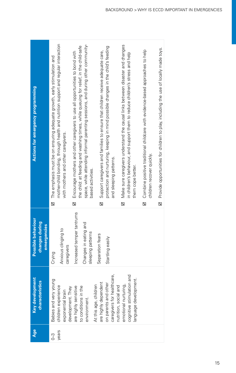| <b>Actions for emergency programming</b>            | mother-child bonding, through health and nutrition support and regular interaction<br>space, while attending informal parenting sessions, and during other community-<br>Make sure caregivers understand the causal links between disaster and changes<br>the child: at feeding and washing times, while queuing for relief, in the child-safe<br>protection and nurturing, keeping in mind possible changes in the child's feeding<br>Provide opportunities for children to play, including the use of locally made toys.<br>Combine positive traditional childcare with evidence-based approaches to help<br>Support caregivers and families to ensure that children receive adequate care,<br>Encourage mothers and other caregivers to use all opportunities to bond with<br>in children's behaviour, and support them to reduce children's stress and help<br>The emphasis must be on ensuring adequate growth, early stimulation and<br>with mothers and other caregivers.<br>children recover quickly.<br>and sleeping patterns.<br>them cope better.<br>based activities.<br><u>ମ</u><br>$\overline{D}$<br>Ŋ<br>⊠<br>⊠<br>Ŋ |
|-----------------------------------------------------|-------------------------------------------------------------------------------------------------------------------------------------------------------------------------------------------------------------------------------------------------------------------------------------------------------------------------------------------------------------------------------------------------------------------------------------------------------------------------------------------------------------------------------------------------------------------------------------------------------------------------------------------------------------------------------------------------------------------------------------------------------------------------------------------------------------------------------------------------------------------------------------------------------------------------------------------------------------------------------------------------------------------------------------------------------------------------------------------------------------------------------------|
| Possible behaviour<br>changes during<br>emergencies | Increased temper tantrums<br>Changes in eating and<br>Anxious clinging to<br>sleeping patterns<br>Separation fears<br>Startling easily<br>caregivers<br>Crying                                                                                                                                                                                                                                                                                                                                                                                                                                                                                                                                                                                                                                                                                                                                                                                                                                                                                                                                                                      |
| Key development<br><b>characteristics</b>           | caregivers for healthcare,<br>and<br>language development.<br>Babies and very young<br>are highly dependent<br>on parents and other<br>cognitive stimulation<br>emotional nurturing,<br>At this age, children<br>nutrition, social and<br>children experience<br>are highly sensitive<br>to conditions in the<br>development. They<br>exponential brain<br>environment.                                                                                                                                                                                                                                                                                                                                                                                                                                                                                                                                                                                                                                                                                                                                                             |
| Age                                                 | years<br>C<br>J                                                                                                                                                                                                                                                                                                                                                                                                                                                                                                                                                                                                                                                                                                                                                                                                                                                                                                                                                                                                                                                                                                                     |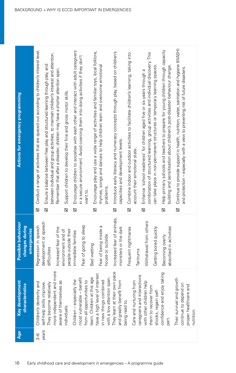<span id="page-15-0"></span>

| Actions for emergency programming                                             | Conduct a range of activities that are spaced out according to children's interest level.<br>between individual and group activities, to maintain children's interest and attention.<br>Ensure a balance between free play and structured learning through play, and<br>Remember that after a disaster, children may have a shorter attention span.<br>Support children to develop their fine and gross motor skills.<br>龱<br>⊠<br>⊠ | Encourage children to socialise with each other and interact with adult caregivers<br>Encourage play and use a wide range of activities and familiar toys, local folklore,<br>in a secure environment. Avoid coercing them into doing activities if they don't<br>rhymes, songs and dances to help children learn and overcome emotional<br>problems.<br>want to.<br>Σ<br>⊠ | Introduce early literacy and numeracy concepts through play, based on children's<br>Combine indoor and outdoor activities to facilitate children's learning, taking into<br>capacities and development levels.<br>account their emotional state.<br>Σ<br>$\Delta$ | Help primary schools and teachers to prepare for young children through capacity<br>combination of structured learning, group activities and individual discovery. This<br>can take place in non-permanent structures or temporary learning spaces<br>building and sensitisation about children's post-disaster behaviour change<br>Enhance 'school readiness' for children aged five or six years through a<br>⊠<br>⊠ | Continue to provide support in health; nutrition; water, sanitation and hygiene (WASH)<br>and protection - especially with a view to preventing risk of future disasters.<br>$\Delta$ |
|-------------------------------------------------------------------------------|--------------------------------------------------------------------------------------------------------------------------------------------------------------------------------------------------------------------------------------------------------------------------------------------------------------------------------------------------------------------------------------------------------------------------------------|-----------------------------------------------------------------------------------------------------------------------------------------------------------------------------------------------------------------------------------------------------------------------------------------------------------------------------------------------------------------------------|-------------------------------------------------------------------------------------------------------------------------------------------------------------------------------------------------------------------------------------------------------------------|------------------------------------------------------------------------------------------------------------------------------------------------------------------------------------------------------------------------------------------------------------------------------------------------------------------------------------------------------------------------------------------------------------------------|---------------------------------------------------------------------------------------------------------------------------------------------------------------------------------------|
|                                                                               |                                                                                                                                                                                                                                                                                                                                                                                                                                      |                                                                                                                                                                                                                                                                                                                                                                             |                                                                                                                                                                                                                                                                   |                                                                                                                                                                                                                                                                                                                                                                                                                        |                                                                                                                                                                                       |
| Possible behaviour<br>changes during<br><b>emergencies</b>                    | development or speech<br>Regression in speech<br>Increased fear of the<br>people outside their<br>environment and of<br>difficulties                                                                                                                                                                                                                                                                                                 | Fear of going to sleep<br>Fear of being inside a<br>immediate families<br>house or outside<br>Bed wetting                                                                                                                                                                                                                                                                   | Increased fear of animals,<br>monsters or the dark<br>Frequent nightmares<br>Tantrums                                                                                                                                                                             | Withdrawal from others<br>absorbed in activities<br>Getting bored quickly<br>Becoming overly                                                                                                                                                                                                                                                                                                                           |                                                                                                                                                                                       |
| <b>E</b><br>characteristics<br>Key developm                                   | more independent and more<br>8B<br>self-help skills improve.<br>Children's dexterity and<br>They become relatively<br>aware of themselves<br>individuals.                                                                                                                                                                                                                                                                            | <b>hterest</b><br>span.<br>learn. Children at this age<br>most vulnerable - benefit<br>the<br>from all opportunities to<br>ned<br>Children - especially<br>in new things combin<br>with a low attention<br>have a high level of                                                                                                                                             | vn pace<br>caregivers and interactions<br>and greatly benefit from<br>Care and nurturing from<br>They learn at their ov<br>being read to.                                                                                                                         | confidence and enjoy taking<br>with other children help<br>them to recover from<br>shocks, regain self-<br>part.                                                                                                                                                                                                                                                                                                       | owth<br>continue to depend on<br>$\overline{\sigma}$<br>proper healthcare an<br>Their survival and gr<br>nutrition.                                                                   |
| Age                                                                           | years<br>3-6                                                                                                                                                                                                                                                                                                                                                                                                                         |                                                                                                                                                                                                                                                                                                                                                                             |                                                                                                                                                                                                                                                                   |                                                                                                                                                                                                                                                                                                                                                                                                                        |                                                                                                                                                                                       |
|                                                                               |                                                                                                                                                                                                                                                                                                                                                                                                                                      |                                                                                                                                                                                                                                                                                                                                                                             |                                                                                                                                                                                                                                                                   |                                                                                                                                                                                                                                                                                                                                                                                                                        |                                                                                                                                                                                       |
| 16<br>Early childhood care and development in emergencies - A programme guide |                                                                                                                                                                                                                                                                                                                                                                                                                                      |                                                                                                                                                                                                                                                                                                                                                                             |                                                                                                                                                                                                                                                                   |                                                                                                                                                                                                                                                                                                                                                                                                                        |                                                                                                                                                                                       |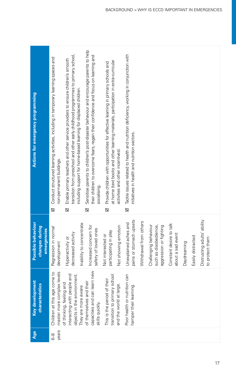| Actions for emergency programming                   | Sensitise parents to children's post-disaster behaviour and encourage parents to help<br>transition from preschool and other early childhood programmes to primary school,<br>their children to overcome fears, regain their confidence and focus on learning and<br>Conduct structured learning activities, including in temporary learning spaces and<br>Enable primary teachers and other service providers to ensure children's smooth<br>at home (text books and other learning materials, participation in extra-curricular<br>Provide children with opportunities for effective learning in primary schools and<br>including support for home-based learning for displaced children.<br>activities and other incentives).<br>non-permanent buildings.<br>socialising.<br>⊠<br>$\boxtimes$<br>Σ<br>⊠ | Tackle issues related to health and nutrition deficiency, working in conjunction with<br>initiatives in health and nutrition sectors.<br>$\overline{\mathbf{z}}$                                                                                                                             |
|-----------------------------------------------------|------------------------------------------------------------------------------------------------------------------------------------------------------------------------------------------------------------------------------------------------------------------------------------------------------------------------------------------------------------------------------------------------------------------------------------------------------------------------------------------------------------------------------------------------------------------------------------------------------------------------------------------------------------------------------------------------------------------------------------------------------------------------------------------------------------|----------------------------------------------------------------------------------------------------------------------------------------------------------------------------------------------------------------------------------------------------------------------------------------------|
| Possible behaviour<br>changes during<br>emergencies | Inability to concentrate<br>Increased concern for<br>Not showing emotion<br>Regression in normal<br>safety of loved ones<br>participating in play<br>decreased activity<br>Not interested or<br>Hyperactivity or<br>development                                                                                                                                                                                                                                                                                                                                                                                                                                                                                                                                                                            | Distrusting adults' ability<br>pains or stomach upsets<br>Withdrawal from others<br>Unexplained aches and<br>Constant desire to talk<br>Challenging behaviour<br>such as disobedience,<br>aggression or fighting<br>about a sad event<br>Easily distracted<br>to protect them<br>Daydreaming |
| ä<br>Ŗ<br>Key developm<br>characteristi             | capacities and can learn new<br>master more complex levels<br>Children at this age come to<br>interacting with people and<br>objects in the environment.<br>school<br>their<br>of themselves and their<br>of thinking, feeling and<br>and the world at large.<br>They are more aware<br>transition to primary<br>This is the period of<br>skills quickly.                                                                                                                                                                                                                                                                                                                                                                                                                                                  | Poor health or nutrition can<br>hamper their learning.                                                                                                                                                                                                                                       |
| Age                                                 | years<br>89                                                                                                                                                                                                                                                                                                                                                                                                                                                                                                                                                                                                                                                                                                                                                                                                |                                                                                                                                                                                                                                                                                              |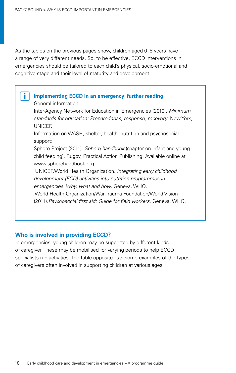As the tables on the previous pages show, children aged 0–8 years have a range of very different needs. So, to be effective, ECCD interventions in emergencies should be tailored to each child's physical, socio-emotional and cognitive stage and their level of maturity and development.

### **Implementing ECCD in an emergency: further reading**

General information:

i.

Inter-Agency Network for Education in Emergencies (2010). *Minimum standards for education: Preparedness, response, recovery*. New York, UNICEF.

Information on WASH, shelter, health, nutrition and psychosocial support:

Sphere Project (2011). *Sphere handbook* (chapter on infant and young child feeding). Rugby, Practical Action Publishing. Available online at www.spherehandbook.org

 UNICEF/World Health Organization. *Integrating early childhood development (ECD) activities into nutrition programmes in emergencies. Why, what and how*. Geneva, WHO.

 World Health Organization/War Trauma Foundation/World Vision (2011).*Psychosocial first aid: Guide for field workers*. Geneva, WHO.

### **Who is involved in providing ECCD?**

In emergencies, young children may be supported by different kinds of caregiver. These may be mobilised for varying periods to help ECCD specialists run activities. The table opposite lists some examples of the types of caregivers often involved in supporting children at various ages.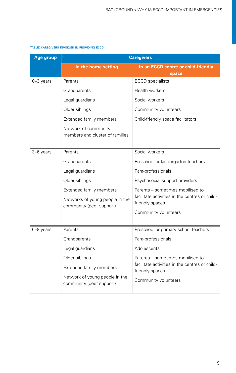#### **table: caregivers involved in providing eccd**

| Age group     | <b>Caregivers</b>                                           |                                                                   |  |
|---------------|-------------------------------------------------------------|-------------------------------------------------------------------|--|
|               | In the home setting                                         | In an ECCD centre or child-friendly                               |  |
|               |                                                             | space                                                             |  |
| $0 - 3$ years | Parents                                                     | <b>ECCD</b> specialists                                           |  |
|               | Grandparents                                                | Health workers                                                    |  |
|               | Legal guardians                                             | Social workers                                                    |  |
|               | Older siblings                                              | Community volunteers                                              |  |
|               | Extended family members                                     | Child-friendly space facilitators                                 |  |
|               | Network of community<br>members and cluster of families     |                                                                   |  |
| 3-6 years     | Parents                                                     | Social workers                                                    |  |
|               | Grandparents                                                | Preschool or kindergarten teachers                                |  |
|               | Legal guardians                                             | Para-professionals                                                |  |
|               | Older siblings                                              | Psychosocial support providers                                    |  |
|               | Extended family members                                     | Parents – sometimes mobilised to                                  |  |
|               | Networks of young people in the<br>community (peer support) | facilitate activities in the centres or child-<br>friendly spaces |  |
|               |                                                             | Community volunteers                                              |  |
|               |                                                             |                                                                   |  |
| 6-8 years     | Parents                                                     | Preschool or primary school teachers                              |  |
|               | Grandparents                                                | Para-professionals                                                |  |
|               | Legal guardians                                             | Adolescents                                                       |  |
|               | Older siblings                                              | Parents – sometimes mobilised to                                  |  |
|               | Extended family members                                     | facilitate activities in the centres or child-<br>friendly spaces |  |
|               | Network of young people in the<br>community (peer support)  | Community volunteers                                              |  |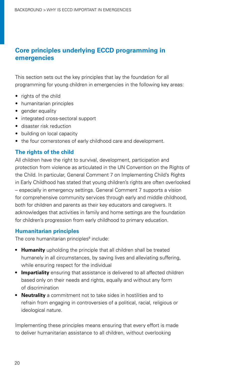### **Core principles underlying ECCD programming in emergencies**

This section sets out the key principles that lay the foundation for all programming for young children in emergencies in the following key areas:

- rights of the child
- • humanitarian principles
- gender equality
- integrated cross-sectoral support
- disaster risk reduction
- building on local capacity
- the four cornerstones of early childhood care and development.

### **The rights of the child**

All children have the right to survival, development, participation and protection from violence as articulated in the UN Convention on the Rights of the Child. In particular, General Comment 7 on Implementing Child's Rights in Early Childhood has stated that young children's rights are often overlooked – especially in emergency settings. General Comment 7 supports a vision for comprehensive community services through early and middle childhood, both for children and parents as their key educators and caregivers. It acknowledges that activities in family and home settings are the foundation for children's progression from early childhood to primary education.

### **Humanitarian principles**

The core humanitarian principles<sup>8</sup> include:

- **• Humanity** upholding the principle that all children shall be treated humanely in all circumstances, by saving lives and alleviating suffering, while ensuring respect for the individual
- **Impartiality** ensuring that assistance is delivered to all affected children based only on their needs and rights, equally and without any form of discrimination
- **• Neutrality** a commitment not to take sides in hostilities and to refrain from engaging in controversies of a political, racial, religious or ideological nature.

Implementing these principles means ensuring that every effort is made to deliver humanitarian assistance to all children, without overlooking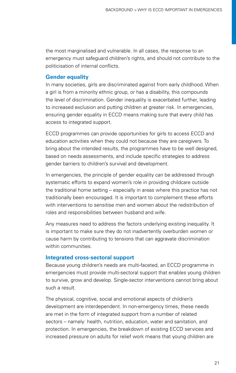the most marginalised and vulnerable. In all cases, the response to an emergency must safeguard children's rights, and should not contribute to the politicisation of internal conflicts.

### **Gender equality**

In many societies, girls are discriminated against from early childhood. When a girl is from a minority ethnic group, or has a disability, this compounds the level of discrimination. Gender inequality is exacerbated further, leading to increased exclusion and putting children at greater risk. In emergencies, ensuring gender equality in ECCD means making sure that every child has access to integrated support.

ECCD programmes can provide opportunities for girls to access ECCD and education activities when they could not because they are caregivers. To bring about the intended results, the programmes have to be well designed, based on needs assessments, and include specific strategies to address gender barriers to children's survival and development.

In emergencies, the principle of gender equality can be addressed through systematic efforts to expand women's role in providing childcare outside the traditional home setting – especially in areas where this practice has not traditionally been encouraged. It is important to complement these efforts with interventions to sensitise men and women about the redistribution of roles and responsibilities between husband and wife.

Any measures need to address the factors underlying existing inequality. It is important to make sure they do not inadvertently overburden women or cause harm by contributing to tensions that can aggravate discrimination within communities.

### **Integrated cross-sectoral support**

Because young children's needs are multi-faceted, an ECCD programme in emergencies must provide multi-sectoral support that enables young children to survive, grow and develop. Single-sector interventions cannot bring about such a result.

The physical, cognitive, social and emotional aspects of children's development are interdependent. In non-emergency times, these needs are met in the form of integrated support from a number of related sectors – namely: health, nutrition, education, water and sanitation, and protection. In emergencies, the breakdown of existing ECCD services and increased pressure on adults for relief work means that young children are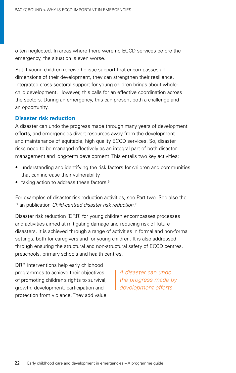often neglected. In areas where there were no ECCD services before the emergency, the situation is even worse.

But if young children receive holistic support that encompasses all dimensions of their development, they can strengthen their resilience. Integrated cross-sectoral support for young children brings about wholechild development. However, this calls for an effective coordination across the sectors. During an emergency, this can present both a challenge and an opportunity.

### **Disaster risk reduction**

A disaster can undo the progress made through many years of development efforts, and emergencies divert resources away from the development and maintenance of equitable, high quality ECCD services. So, disaster risks need to be managed effectively as an integral part of both disaster management and long-term development. This entails two key activities:

- understanding and identifying the risk factors for children and communities that can increase their vulnerability
- taking action to address these factors.<sup>[9](#page-99-9)</sup>

For examples of disaster risk reduction activities, see [Part](#page-30-1) two. See also the Plan publication *Child-centred disaster risk reduction*. [11](#page-99-10)

Disaster risk reduction (DRR) for young children encompasses processes and activities aimed at mitigating damage and reducing risk of future disasters. It is achieved through a range of activities in formal and non-formal settings, both for caregivers and for young children. It is also addressed through ensuring the structural and non-structural safety of ECCD centres, preschools, primary schools and health centres.

DRR interventions help early childhood programmes to achieve their objectives of promoting children's rights to survival, growth, development, participation and protection from violence. They add value

*A disaster can undo the progress made by development efforts*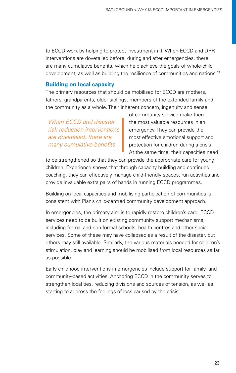to ECCD work by helping to protect investment in it. When ECCD and DRR interventions are dovetailed before, during and after emergencies, there are many cumulative benefits, which help achieve the goals of whole-child development, as well as building the resilience of communities and nations.<sup>[12](#page-99-11)</sup>

### **Building on local capacity**

The primary resources that should be mobilised for ECCD are mothers, fathers, grandparents, older siblings, members of the extended family and the community as a whole. Their inherent concern, ingenuity and sense

*When ECCD and disaster risk reduction interventions are dovetailed, there are many cumulative benefits*

of community service make them the most valuable resources in an emergency. They can provide the most effective emotional support and protection for children during a crisis. At the same time, their capacities need

to be strengthened so that they can provide the appropriate care for young children. Experience shows that through capacity building and continued coaching, they can effectively manage child-friendly spaces, run activities and provide invaluable extra pairs of hands in running ECCD programmes.

Building on local capacities and mobilising participation of communities is consistent with Plan's child-centred community development approach.

In emergencies, the primary aim is to rapidly restore children's care. ECCD services need to be built on existing community support mechanisms, including formal and non-formal schools, health centres and other social services. Some of these may have collapsed as a result of the disaster, but others may still available. Similarly, the various materials needed for children's stimulation, play and learning should be mobilised from local resources as far as possible.

Early childhood interventions in emergencies include support for family- and community-based activities. Anchoring ECCD in the community serves to strengthen local ties, reducing divisions and sources of tension, as well as starting to address the feelings of loss caused by the crisis.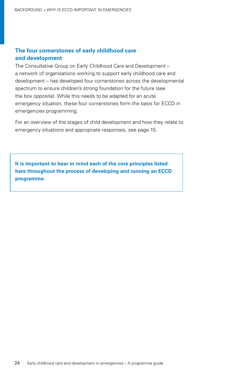### **The four cornerstones of early childhood care and development**

The Consultative Group on Early Childhood Care and Development – a network of organisations working to support early childhood care and development – has developed four cornerstones across the developmental spectrum to ensure children's strong foundation for the future (see the box opposite). While this needs to be adapted for an acute emergency situation, these four cornerstones form the basis for ECCD in emergencies programming.

For an overview of the stages of child development and how they relate to emergency situations and appropriate responses, see page [15](#page-15-0).

**It is important to bear in mind each of the core principles listed here throughout the process of developing and running an ECCD programme.**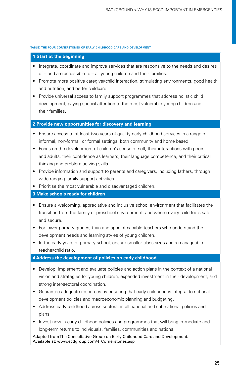#### **table: the four cornerstones of early childhood care and development**

### **1 Start at the beginning**

- Integrate, coordinate and improve services that are responsive to the needs and desires of – and are accessible to – all young children and their families.
- Promote more positive caregiver-child interaction, stimulating environments, good health and nutrition, and better childcare.
- Provide universal access to family support programmes that address holistic child development, paying special attention to the most vulnerable young children and their families.

#### **2 Provide new opportunities for discovery and learning**

- Ensure access to at least two years of quality early childhood services in a range of informal, non-formal, or formal settings, both community and home based.
- Focus on the development of children's sense of self, their interactions with peers and adults, their confidence as learners, their language competence, and their critical thinking and problem-solving skills.
- Provide information and support to parents and caregivers, including fathers, through wide-ranging family support activities.
- Prioritise the most vulnerable and disadvantaged children.

### **3 Make schools ready for children**

- Ensure a welcoming, appreciative and inclusive school environment that facilitates the transition from the family or preschool environment, and where every child feels safe and secure.
- For lower primary grades, train and appoint capable teachers who understand the development needs and learning styles of young children.
- In the early years of primary school, ensure smaller class sizes and a manageable teacher-child ratio.

#### **4 Address the development of policies on early childhood**

- Develop, implement and evaluate policies and action plans in the context of a national vision and strategies for young children, expanded investment in their development, and strong inter-sectoral coordination.
- Guarantee adequate resources by ensuring that early childhood is integral to national development policies and macroeconomic planning and budgeting.
- Address early childhood across sectors, in all national and sub-national policies and plans.
- Invest now in early childhood policies and programmes that will bring immediate and long-term returns to individuals, families, communities and nations.

Adapted from The Consultative Group on Early Childhood Care and Development. Available at: [www.ecdgroup.com/4\\_Cornerstones.asp](www.ecdgroup.com/4_Cornerstones.asp)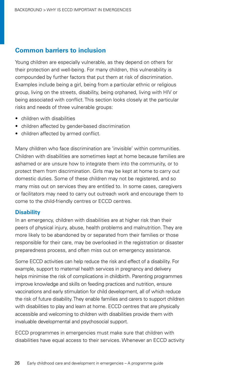### **Common barriers to inclusion**

Young children are especially vulnerable, as they depend on others for their protection and well-being. For many children, this vulnerability is compounded by further factors that put them at risk of discrimination. Examples include being a girl, being from a particular ethnic or religious group, living on the streets, disability, being orphaned, living with HIV or being associated with conflict. This section looks closely at the particular risks and needs of three vulnerable groups:

- children with disabilities
- children affected by gender-based discrimination
- children affected by armed conflict.

Many children who face discrimination are 'invisible' within communities. Children with disabilities are sometimes kept at home because families are ashamed or are unsure how to integrate them into the community, or to protect them from discrimination. Girls may be kept at home to carry out domestic duties. Some of these children may not be registered, and so many miss out on services they are entitled to. In some cases, caregivers or facilitators may need to carry out outreach work and encourage them to come to the child-friendly centres or ECCD centres.

### **Disability**

In an emergency, children with disabilities are at higher risk than their peers of physical injury, abuse, health problems and malnutrition. They are more likely to be abandoned by or separated from their families or those responsible for their care, may be overlooked in the registration or disaster preparedness process, and often miss out on emergency assistance.

Some ECCD activities can help reduce the risk and effect of a disability. For example, support to maternal health services in pregnancy and delivery helps minimise the risk of complications in childbirth. Parenting programmes improve knowledge and skills on feeding practices and nutrition, ensure vaccinations and early stimulation for child development, all of which reduce the risk of future disability. They enable families and carers to support children with disabilities to play and learn at home. ECCD centres that are physically accessible and welcoming to children with disabilities provide them with invaluable developmental and psychosocial support.

ECCD programmes in emergencies must make sure that children with disabilities have equal access to their services. Whenever an ECCD activity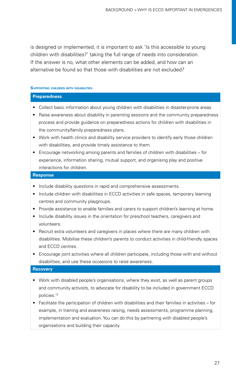is designed or implemented, it is important to ask 'Is this accessible to young children with disabilities?' taking the full range of needs into consideration. If the answer is no, what other elements can be added, and how can an alternative be found so that those with disabilities are not excluded?

#### **Supporting children with disabilities**

#### **Preparedness**

- Collect basic information about young children with disabilities in disaster-prone areas.
- Raise awareness about disability in parenting sessions and the community preparedness process and provide guidance on preparedness actions for children with disabilities in the community/family preparedness plans.
- Work with health clinics and disability service providers to identify early those children with disabilities, and provide timely assistance to them.
- Encourage networking among parents and families of children with disabilities for experience, information sharing, mutual support, and organising play and positive interactions for children.

### **Response**

- Include disability questions in rapid and comprehensive assessments.
- Include children with disabilities in ECCD activities in safe spaces, temporary learning centres and community playgroups.
- Provide assistance to enable families and carers to support children's learning at home.
- Include disability issues in the orientation for preschool teachers, caregivers and volunteers.
- • Recruit extra volunteers and caregivers in places where there are many children with disabilities. Mobilise these children's parents to conduct activities in child-friendly spaces and ECCD centres.
- Encourage joint activities where all children participate, including those with and without disabilities, and use these occasions to raise awareness.

### **Recovery**

- Work with disabled people's organisations, where they exist, as well as parent groups and community activists, to advocate for disability to be included in government ECCD policies.[13](#page-99-12)
- Facilitate the participation of children with disabilities and their families in activities for example, in training and awareness raising, needs assessments, programme planning, implementation and evaluation. You can do this by partnering with disabled people's organisations and building their capacity.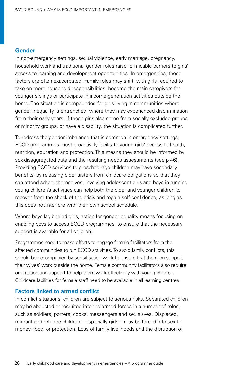### **Gender**

In non-emergency settings, sexual violence, early marriage, pregnancy, household work and traditional gender roles raise formidable barriers to girls' access to learning and development opportunities. In emergencies, those factors are often exacerbated. Family roles may shift, with girls required to take on more household responsibilities, become the main caregivers for younger siblings or participate in income-generation activities outside the home. The situation is compounded for girls living in communities where gender inequality is entrenched, where they may experienced discrimination from their early years. If these girls also come from socially excluded groups or minority groups, or have a disability, the situation is complicated further.

To redress the gender imbalance that is common in emergency settings, ECCD programmes must proactively facilitate young girls' access to health, nutrition, education and protection. This means they should be informed by sex-disaggregated data and the resulting needs assessments [\(see p 46](#page-45-0)). Providing ECCD services to preschool-age children may have secondary benefits, by releasing older sisters from childcare obligations so that they can attend school themselves. Involving adolescent girls and boys in running young children's activities can help both the older and younger children to recover from the shock of the crisis and regain self-confidence, as long as this does not interfere with their own school schedule.

Where boys lag behind girls, action for gender equality means focusing on enabling boys to access ECCD programmes, to ensure that the necessary support is available for all children.

Programmes need to make efforts to engage female facilitators from the affected communities to run ECCD activities. To avoid family conflicts, this should be accompanied by sensitisation work to ensure that the men support their wives' work outside the home. Female community facilitators also require orientation and support to help them work effectively with young children. Childcare facilities for female staff need to be available in all learning centres.

### **Factors linked to armed conflict**

In conflict situations, children are subject to serious risks. Separated children may be abducted or recruited into the armed forces in a number of roles, such as soldiers, porters, cooks, messengers and sex slaves. Displaced, migrant and refugee children – especially girls – may be forced into sex for money, food, or protection. Loss of family livelihoods and the disruption of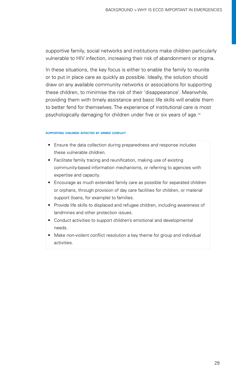supportive family, social networks and institutions make children particularly vulnerable to HIV infection, increasing their risk of abandonment or stigma.

In these situations, the key focus is either to enable the family to reunite or to put in place care as quickly as possible. Ideally, the solution should draw on any available community networks or associations for supporting these children, to minimise the risk of their 'disappearance'. Meanwhile, providing them with timely assistance and basic life skills will enable them to better fend for themselves. The experience of institutional care is most psychologically damaging for children under five or six years of age.[14](#page-99-13)

#### **supporting children affected by armed conflict**

- Ensure the data collection during preparedness and response includes these vulnerable children.
- Facilitate family tracing and reunification, making use of existing community-based information mechanisms, or referring to agencies with expertise and capacity.
- Encourage as much extended family care as possible for separated children or orphans, through provision of day care facilities for children, or material support (loans, for example) to families.
- Provide life skills to displaced and refugee children, including awareness of landmines and other protection issues.
- Conduct activities to support children's emotional and developmental needs.
- Make non-violent conflict resolution a key theme for group and individual activities.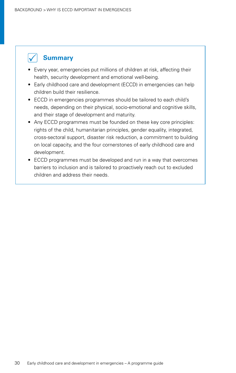

- Every year, emergencies put millions of children at risk, affecting their health, security development and emotional well-being.
- Early childhood care and development (ECCD) in emergencies can help children build their resilience.
- ECCD in emergencies programmes should be tailored to each child's needs, depending on their physical, socio-emotional and cognitive skills, and their stage of development and maturity.
- Any ECCD programmes must be founded on these key core principles: rights of the child, humanitarian principles, gender equality, integrated, cross-sectoral support, disaster risk reduction, a commitment to building on local capacity, and the four cornerstones of early childhood care and development.
- ECCD programmes must be developed and run in a way that overcomes barriers to inclusion and is tailored to proactively reach out to excluded children and address their needs.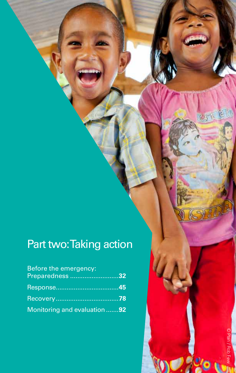# <span id="page-30-1"></span>Part two: Taking action

| <b>Before the emergency:</b> |  |
|------------------------------|--|
| Preparedness 32              |  |
|                              |  |
|                              |  |
| Monitoring and evaluation 92 |  |

Early childhood care and development in emergencies – A programme guide 31 31

Ō. ř.

<span id="page-30-0"></span>R.J.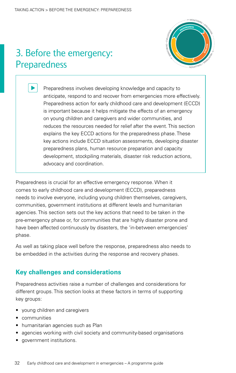## <span id="page-31-0"></span>3. Before the emergency: Preparedness



**RESPONSE**

**RECOVERY**

Preparedness involves developing knowledge and capacity to anticipate, respond to and recover from emergencies more effectively. Preparedness action for early childhood care and development (ECCD) is important because it helps mitigate the effects of an emergency **PREPAREDNESS** on young children and caregivers and wider communities, and reduces the resources needed for relief after the event. This section **<sup>N</sup>O<sup>I</sup> <sup>T</sup>AULAV<sup>E</sup>** explains the key ECCD actions for the preparedness phase. These key actions include ECCD situation assessments, developing disaster preparedness plans, human resource preparation and capacity development, stockpiling materials, disaster risk reduction actions, advocacy and coordination. **MON TI ORING + EVALUATION MONITORING + EVALUATION <sup>M</sup>O<sup>N</sup> <sup>T</sup><sup>I</sup> <sup>R</sup><sup>O</sup> <sup>N</sup><sup>I</sup> + <sup>G</sup> <sup>M</sup>ONITORIN<sup>G</sup> <sup>+</sup> <sup>E</sup>VALUAT<sup>I</sup>O<sup>N</sup> M**<br>DIPPORE<br>OPPORE **RECOVERY**

Preparedness is crucial for an effective emergency response. When it comes to early childhood care and development (ECCD), preparedness needs to involve everyone, including young children themselves, caregivers, communities, government institutions at different levels and humanitarian agencies. This section sets out the key actions that need to be taken in the pre-emergency phase or, for communities that are highly disaster prone and have been affected continuously by disasters, the 'in-between emergencies' phase. **n**<br>Dror<br>Drge

As well as taking place well before the response, preparedness also needs to **<sup>N</sup>O<sup>I</sup> <sup>T</sup>AULAV<sup>E</sup>** be embedded in the activities during the response and recovery phases.

### **Key challenges and considerations**

**Preparedness activities raise a number of challenges and considerations for** different groups. This section looks at these factors in terms of supporting key groups: **MON TI OR NI G + EVALUATION**

- young children and caregivers
- • communities
- humanitarian agencies such as Plan
- agencies working with civil society and community-based organisations
- • government institutions.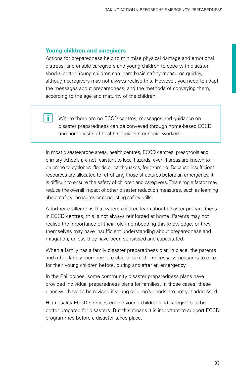### **Young children and caregivers**

i.

Actions for preparedness help to minimise physical damage and emotional distress, and enable caregivers and young children to cope with disaster shocks better. Young children can learn basic safety measures quickly, although caregivers may not always realise this. However, you need to adapt the messages about preparedness, and the methods of conveying them, according to the age and maturity of the children.

Where there are no ECCD centres, messages and guidance on disaster preparedness can be conveyed through home-based ECCD and home visits of health specialists or social workers.

In most disaster-prone areas, health centres, ECCD centres, preschools and primary schools are not resistant to local hazards, even if areas are known to be prone to cyclones, floods or earthquakes, for example. Because insufficient resources are allocated to retrofitting those structures before an emergency, it is difficult to ensure the safety of children and caregivers. This simple factor may reduce the overall impact of other disaster reduction measures, such as learning about safety measures or conducting safety drills.

A further challenge is that where children learn about disaster preparedness in ECCD centres, this is not always reinforced at home. Parents may not realise the importance of their role in embedding this knowledge, or they themselves may have insufficient understanding about preparedness and mitigation, unless they have been sensitised and capacitated.

When a family has a family disaster preparedness plan in place, the parents and other family members are able to take the necessary measures to care for their young children before, during and after an emergency.

In the Philippines, some community disaster preparedness plans have provided individual preparedness plans for families. In those cases, these plans will have to be revised if young children's needs are not yet addressed.

High quality ECCD services enable young children and caregivers to be better prepared for disasters. But this means it is important to support ECCD programmes before a disaster takes place.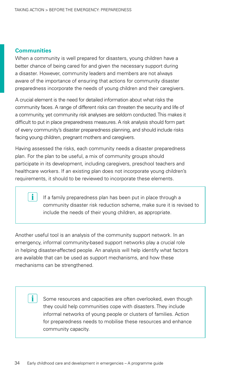### **Communities**

When a community is well prepared for disasters, young children have a better chance of being cared for and given the necessary support during a disaster. However, community leaders and members are not always aware of the importance of ensuring that actions for community disaster preparedness incorporate the needs of young children and their caregivers.

A crucial element is the need for detailed information about what risks the community faces. A range of different risks can threaten the security and life of a community, yet community risk analyses are seldom conducted. This makes it difficult to put in place preparedness measures. A risk analysis should form part of every community's disaster preparedness planning, and should include risks facing young children, pregnant mothers and caregivers.

Having assessed the risks, each community needs a disaster preparedness plan. For the plan to be useful, a mix of community groups should participate in its development, including caregivers, preschool teachers and healthcare workers. If an existing plan does not incorporate young children's requirements, it should to be reviewed to incorporate these elements.

> If a family preparedness plan has been put in place through a community disaster risk reduction scheme, make sure it is revised to include the needs of their young children, as appropriate.

Another useful tool is an analysis of the community support network. In an emergency, informal community-based support networks play a crucial role in helping disaster-affected people. An analysis will help identify what factors are available that can be used as support mechanisms, and how these mechanisms can be strengthened.

> Some resources and capacities are often overlooked, even though they could help communities cope with disasters. They include informal networks of young people or clusters of families. Action for preparedness needs to mobilise these resources and enhance community capacity.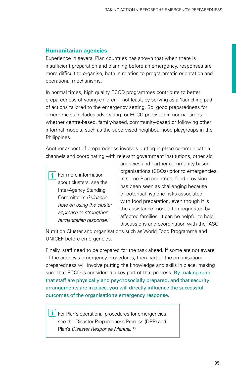### **Humanitarian agencies**

Experience in several Plan countries has shown that when there is insufficient preparation and planning before an emergency, responses are more difficult to organise, both in relation to programmatic orientation and operational mechanisms.

In normal times, high quality ECCD programmes contribute to better preparedness of young children – not least, by serving as a 'launching pad' of actions tailored to the emergency setting. So, good preparedness for emergencies includes advocating for ECCD provision in normal times – whether centre-based, family-based, community-based or following other informal models, such as the supervised neighbourhood playgroups in the Philippines.

Another aspect of preparedness involves putting in place communication channels and coordinating with relevant government institutions, other aid

i. For more information about clusters, see the Inter-Agency Standing Committee's *Guidance note on using the cluster approach to strengthen humanitarian response*. [15](#page-99-14)

agencies and partner community-based organisations (CBOs) prior to emergencies. In some Plan countries, food provision has been seen as challenging because of potential hygiene risks associated with food preparation, even though it is the assistance most often requested by affected families. It can be helpful to hold discussions and coordination with the IASC

Nutrition Cluster and organisations such as World Food Programme and UNICEF before emergencies.

Finally, staff need to be prepared for the task ahead. If some are not aware of the agency's emergency procedures, then part of the organisational preparedness will involve putting the knowledge and skills in place, making sure that ECCD is considered a key part of that process. By making sure that staff are physically and psychosocially prepared, and that security arrangements are in place, you will directly influence the successful outcomes of the organisation's emergency response.

 $\mathbf{i}$  | For Plan's operational procedures for emergencies, see the Disaster Preparedness Process (DPP) and Plan's *Disaster Response Manual*. [16](#page-99-15)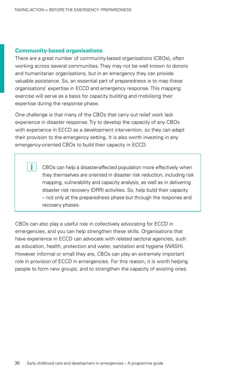### **Community-based organisations**

There are a great number of community-based organisations (CBOs), often working across several communities. They may not be well known to donors and humanitarian organisations, but in an emergency they can provide valuable assistance. So, an essential part of preparedness is to map these organisations' expertise in ECCD and emergency response. This mapping exercise will serve as a basis for capacity building and mobilising their expertise during the response phase.

One challenge is that many of the CBOs that carry out relief work lack experience in disaster response. Try to develop the capacity of any CBOs with experience in ECCD as a development intervention, so they can adapt their provision to the emergency setting. It is also worth investing in any emergency-oriented CBOs to build their capacity in ECCD.

> CBOs can help a disaster-affected population more effectively when they themselves are oriented in disaster risk reduction, including risk mapping, vulnerability and capacity analysis, as well as in delivering disaster risk recovery (DRR) activities. So, help build their capacity – not only at the preparedness phase but through the response and recovery phases.

CBOs can also play a useful role in collectively advocating for ECCD in emergencies, and you can help strengthen these skills. Organisations that have experience in ECCD can advocate with related sectoral agencies, such as education, health, protection and water, sanitation and hygiene (WASH). However informal or small they are, CBOs can play an extremely important role in provision of ECCD in emergencies. For this reason, it is worth helping people to form new groups, and to strengthen the capacity of existing ones.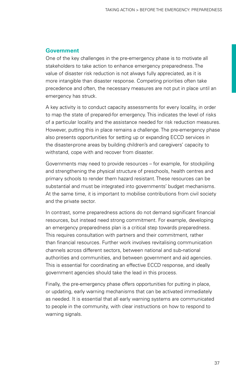## **Government**

One of the key challenges in the pre-emergency phase is to motivate all stakeholders to take action to enhance emergency preparedness. The value of disaster risk reduction is not always fully appreciated, as it is more intangible than disaster response. Competing priorities often take precedence and often, the necessary measures are not put in place until an emergency has struck.

A key activity is to conduct capacity assessments for every locality, in order to map the state of prepared-for emergency. This indicates the level of risks of a particular locality and the assistance needed for risk reduction measures. However, putting this in place remains a challenge. The pre-emergency phase also presents opportunities for setting up or expanding ECCD services in the disaster-prone areas by building children's and caregivers' capacity to withstand, cope with and recover from disaster.

Governments may need to provide resources – for example, for stockpiling and strengthening the physical structure of preschools, health centres and primary schools to render them hazard resistant. These resources can be substantial and must be integrated into governments' budget mechanisms. At the same time, it is important to mobilise contributions from civil society and the private sector.

In contrast, some preparedness actions do not demand significant financial resources, but instead need strong commitment. For example, developing an emergency preparedness plan is a critical step towards preparedness. This requires consultation with partners and their commitment, rather than financial resources. Further work involves revitalising communication channels across different sectors, between national and sub-national authorities and communities, and between government and aid agencies. This is essential for coordinating an effective ECCD response, and ideally government agencies should take the lead in this process.

Finally, the pre-emergency phase offers opportunities for putting in place, or updating, early warning mechanisms that can be activated immediately as needed. It is essential that all early warning systems are communicated to people in the community, with clear instructions on how to respond to warning signals.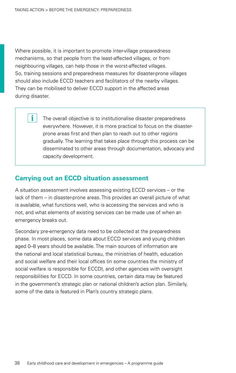i.

<span id="page-37-0"></span>Where possible, it is important to promote inter-village preparedness mechanisms, so that people from the least-affected villages, or from neighbouring villages, can help those in the worst-affected villages. So, training sessions and preparedness measures for disaster-prone villages should also include ECCD teachers and facilitators of the nearby villages. They can be mobilised to deliver ECCD support in the affected areas during disaster.

> The overall objective is to institutionalise disaster preparedness everywhere. However, it is more practical to focus on the disasterprone areas first and then plan to reach out to other regions gradually. The learning that takes place through this process can be disseminated to other areas through documentation, advocacy and capacity development.

## **Carrying out an ECCD situation assessment**

A situation assessment involves assessing existing ECCD services – or the lack of them – in disaster-prone areas. This provides an overall picture of what is available, what functions well, who is accessing the services and who is not, and what elements of existing services can be made use of when an emergency breaks out.

Secondary pre-emergency data need to be collected at the preparedness phase. In most places, some data about ECCD services and young children aged 0–8 years should be available. The main sources of information are the national and local statistical bureau, the ministries of health, education and social welfare and their local offices (in some countries the ministry of social welfare is responsible for ECCD), and other agencies with oversight responsibilities for ECCD. In some countries, certain data may be featured in the government's strategic plan or national children's action plan. Similarly, some of the data is featured in Plan's country strategic plans.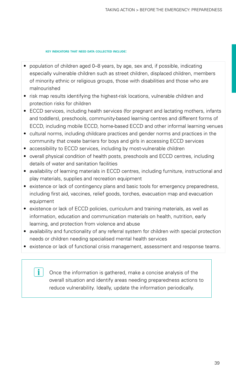**key indicators that need data collected include:**

- population of children aged 0–8 years, by age, sex and, if possible, indicating especially vulnerable children such as street children, displaced children, members of minority ethnic or religious groups, those with disabilities and those who are malnourished
- risk map results identifying the highest-risk locations, vulnerable children and protection risks for children
- ECCD services, including health services (for pregnant and lactating mothers, infants and toddlers), preschools, community-based learning centres and different forms of ECCD, including mobile ECCD, home-based ECCD and other informal learning venues
- cultural norms, including childcare practices and gender norms and practices in the community that create barriers for boys and girls in accessing ECCD services
- accessibility to ECCD services, including by most-vulnerable children
- overall physical condition of health posts, preschools and ECCD centres, including details of water and sanitation facilities
- availability of learning materials in ECCD centres, including furniture, instructional and play materials, supplies and recreation equipment
- existence or lack of contingency plans and basic tools for emergency preparedness, including first aid, vaccines, relief goods, torches, evacuation map and evacuation equipment
- existence or lack of ECCD policies, curriculum and training materials, as well as information, education and communication materials on health, nutrition, early learning, and protection from violence and abuse
- availability and functionality of any referral system for children with special protection needs or children needing specialised mental health services
- existence or lack of functional crisis management, assessment and response teams.

i.

Once the information is gathered, make a concise analysis of the overall situation and identify areas needing preparedness actions to reduce vulnerability. Ideally, update the information periodically.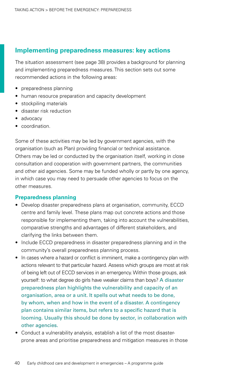## **Implementing preparedness measures: key actions**

The situation assessment [\(see page 38](#page-37-0)) provides a background for planning and implementing preparedness measures. This section sets out some recommended actions in the following areas:

- preparedness planning
- human resource preparation and capacity development
- stockpiling materials
- disaster risk reduction
- advocacy
- • coordination.

Some of these activities may be led by government agencies, with the organisation (such as Plan) providing financial or technical assistance. Others may be led or conducted by the organisation itself, working in close consultation and cooperation with government partners, the communities and other aid agencies. Some may be funded wholly or partly by one agency, in which case you may need to persuade other agencies to focus on the other measures.

#### **Preparedness planning**

- Develop disaster preparedness plans at organisation, community, ECCD centre and family level. These plans map out concrete actions and those responsible for implementing them, taking into account the vulnerabilities, comparative strengths and advantages of different stakeholders, and clarifying the links between them.
- Include ECCD preparedness in disaster preparedness planning and in the community's overall preparedness planning process.
- In cases where a hazard or conflict is imminent, make a contingency plan with actions relevant to that particular hazard. Assess which groups are most at risk of being left out of ECCD services in an emergency. Within those groups, ask yourself: to what degree do girls have weaker claims than boys? A disaster preparedness plan highlights the vulnerability and capacity of an organisation, area or a unit. It spells out what needs to be done, by whom, when and how in the event of a disaster. A contingency plan contains similar items, but refers to a specific hazard that is looming. Usually this should be done by sector, in collaboration with other agencies.
- Conduct a vulnerability analysis, establish a list of the most disasterprone areas and prioritise preparedness and mitigation measures in those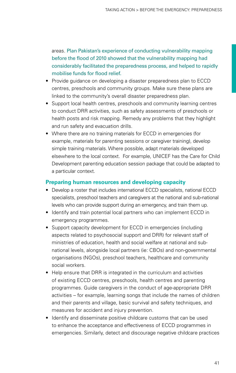areas. Plan Pakistan's experience of conducting vulnerability mapping before the flood of 2010 showed that the vulnerability mapping had considerably facilitated the preparedness process, and helped to rapidly mobilise funds for flood relief.

- Provide quidance on developing a disaster preparedness plan to ECCD centres, preschools and community groups. Make sure these plans are linked to the community's overall disaster preparedness plan.
- Support local health centres, preschools and community learning centres to conduct DRR activities, such as safety assessments of preschools or health posts and risk mapping. Remedy any problems that they highlight and run safety and evacuation drills.
- Where there are no training materials for ECCD in emergencies (for example, materials for parenting sessions or caregiver training), develop simple training materials. Where possible, adapt materials developed elsewhere to the local context. For example, UNICEF has the Care for Child Development parenting education session package that could be adapted to a particular context.

## **Preparing human resources and developing capacity**

- Develop a roster that includes international ECCD specialists, national ECCD specialists, preschool teachers and caregivers at the national and sub-national levels who can provide support during an emergency, and train them up.
- Identify and train potential local partners who can implement ECCD in emergency programmes.
- Support capacity development for ECCD in emergencies (including aspects related to psychosocial support and DRR) for relevant staff of ministries of education, health and social welfare at national and subnational levels, alongside local partners (ie: CBOs) and non-governmental organisations (NGOs), preschool teachers, healthcare and community social workers.
- Help ensure that DRR is integrated in the curriculum and activities of existing ECCD centres, preschools, health centres and parenting programmes. Guide caregivers in the conduct of age-appropriate DRR activities – for example, learning songs that include the names of children and their parents and village, basic survival and safety techniques, and measures for accident and injury prevention.
- Identify and disseminate positive childcare customs that can be used to enhance the acceptance and effectiveness of ECCD programmes in emergencies. Similarly, detect and discourage negative childcare practices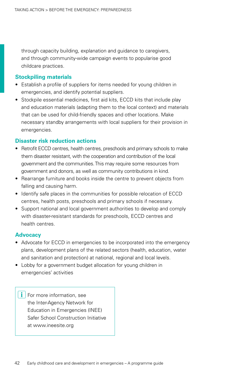through capacity building, explanation and guidance to caregivers, and through community-wide campaign events to popularise good childcare practices.

## **Stockpiling materials**

- Establish a profile of suppliers for items needed for young children in emergencies, and identify potential suppliers.
- Stockpile essential medicines, first aid kits, ECCD kits that include play and education materials (adapting them to the local context) and materials that can be used for child-friendly spaces and other locations. Make necessary standby arrangements with local suppliers for their provision in emergencies.

## **Disaster risk reduction actions**

- Retrofit ECCD centres, health centres, preschools and primary schools to make them disaster resistant, with the cooperation and contribution of the local government and the communities. This may require some resources from government and donors, as well as community contributions in kind.
- Rearrange furniture and books inside the centre to prevent objects from falling and causing harm.
- Identify safe places in the communities for possible relocation of ECCD centres, health posts, preschools and primary schools if necessary.
- Support national and local government authorities to develop and comply with disaster-resistant standards for preschools, ECCD centres and health centres.

## **Advocacy**

- Advocate for ECCD in emergencies to be incorporated into the emergency plans, development plans of the related sectors (health, education, water and sanitation and protection) at national, regional and local levels.
- Lobby for a government budget allocation for young children in emergencies' activities

 $\mathbf{i}$  | For more information, see the Inter-Agency Network for Education in Emergencies (INEE) Safer School Construction Initiative at <www.ineesite.org>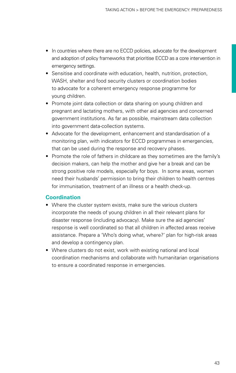- In countries where there are no ECCD policies, advocate for the development and adoption of policy frameworks that prioritise ECCD as a core intervention in emergency settings.
- Sensitise and coordinate with education, health, nutrition, protection, WASH, shelter and food security clusters or coordination bodies to advocate for a coherent emergency response programme for young children.
- Promote joint data collection or data sharing on young children and pregnant and lactating mothers, with other aid agencies and concerned government institutions. As far as possible, mainstream data collection into government data-collection systems.
- Advocate for the development, enhancement and standardisation of a monitoring plan, with indicators for ECCD programmes in emergencies, that can be used during the response and recovery phases.
- Promote the role of fathers in childcare as they sometimes are the family's decision makers, can help the mother and give her a break and can be strong positive role models, especially for boys. In some areas, women need their husbands' permission to bring their children to health centres for immunisation, treatment of an illness or a health check-up.

## **Coordination**

- Where the cluster system exists, make sure the various clusters incorporate the needs of young children in all their relevant plans for disaster response (including advocacy). Make sure the aid agencies' response is well coordinated so that all children in affected areas receive assistance. Prepare a 'Who's doing what, where?' plan for high-risk areas and develop a contingency plan.
- Where clusters do not exist, work with existing national and local coordination mechanisms and collaborate with humanitarian organisations to ensure a coordinated response in emergencies.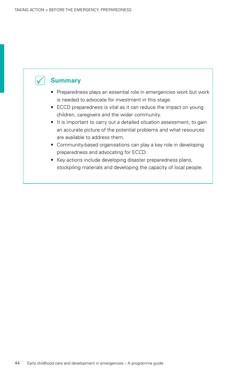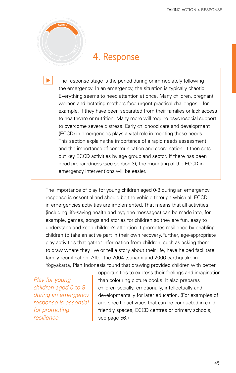# 4. Response

**<sup>M</sup>ONITORIN<sup>G</sup> <sup>+</sup> <sup>E</sup>VALUAT<sup>I</sup>O<sup>N</sup>**

**<sup>M</sup>O<sup>N</sup> <sup>T</sup><sup>I</sup> <sup>R</sup><sup>O</sup> <sup>N</sup><sup>I</sup> + <sup>G</sup>**

**<sup>R</sup>ESPONS<sup>E</sup>**

The response stage is the period during or immediately following<br>the emergency. In an emergency, the situation is typically chaotic.<br>Everything seems to need attention at once. Many children, pregr **hEE** emergency. In an emergency, the situation is typically chaotic. Everything seems to need attention at once. Many children, pregnant women and lactating mothers face urgent practical challenges – for **REESPONSECCCESESPONSESEECCESECESECESECECECECECECECECECECECECECECECECECECEC** to healthcare or nutrition. Many more will require psychosocial support **<sup>M</sup>O<sup>N</sup> <sup>T</sup><sup>I</sup> <sup>O</sup> <sup>I</sup> <sup>R</sup> <sup>G</sup><sup>N</sup> E <sup>+</sup>** to overcome severe distress. Early childhood care and development **NO<sup>I</sup> TAULAV** (ECCD) in emergencies plays a vital role in meeting these needs. This section explains the importance of a rapid needs assessment and the importance of communication and coordination. It then sets out key ECCD activities by age group and sector. If there has been good preparedness (see [section 3\)](#page-31-0), the mounting of the ECCD in B<sub>P</sub><sub>C</sub> but the parameters (See Section 5), the **IC**<br>If the imp<br>If they ECC **RECOVER<sup>Y</sup>**

The importance of play for young children aged 0-8 during an emergency response is essential and should be the vehicle through which all ECCD in emergencies activities are implemented. That means that all activities (including life-saving health and hygiene messages) can be made into, for<br>example, games, songs and stories for children so they are fun, easy to example, games, songs and stories for children so they are fun, easy to **PREPAREDNES<sup>S</sup>** understand and keep children's attention.It promotes resilience by enabling children to take an active part in their own recovery.Further, age-appropriate **RESPONSE** play activities that gather information from children, such as asking them **<sup>E</sup><sup>R</sup> <sup>O</sup><sup>C</sup> <sup>V</sup>ER<sup>Y</sup>** play activities that gather information from children, such as asking them<br>to draw where they live or tell a story about their life, have helped facilitate family reunification. After the 2004 tsunami and 2006 earthquake in Yogyakarta, Plan Indonesia found that drawing provided children with better

*Play for young children aged 0 to 8 during an emergency response is essential for promoting resilience*

**MON TI ORING + EVALUATION**

**M**<br> **E**R<br> **O**<br> **DRESS** 

opportunities to express their feelings and imagination than colouring picture books. It also prepares children socially, emotionally, intellectually and developmentally for later education. (For examples of age-specific activities that can be conducted in childfriendly spaces, ECCD centres or primary schools, see page 56.)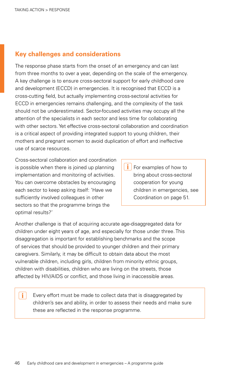## **Key challenges and considerations**

The response phase starts from the onset of an emergency and can last from three months to over a year, depending on the scale of the emergency. A key challenge is to ensure cross-sectoral support for early childhood care and development (ECCD) in emergencies. It is recognised that ECCD is a cross-cutting field, but actually implementing cross-sectoral activities for ECCD in emergencies remains challenging, and the complexity of the task should not be underestimated. Sector-focused activities may occupy all the attention of the specialists in each sector and less time for collaborating with other sectors. Yet effective cross-sectoral collaboration and coordination is a critical aspect of providing integrated support to young children, their mothers and pregnant women to avoid duplication of effort and ineffective use of scarce resources.

Cross-sectoral collaboration and coordination is possible when there is joined up planning implementation and monitoring of activities. You can overcome obstacles by encouraging each sector to keep asking itself: 'Have we sufficiently involved colleagues in other sectors so that the programme brings the optimal results?'

 $\mathbf i$ 

i. For examples of how to bring about cross-sectoral cooperation for young children in emergencies, see Coordination on page [51](#page-50-0).

Another challenge is that of acquiring accurate age-disaggregated data for children under eight years of age, and especially for those under three. This disaggregation is important for establishing benchmarks and the scope of services that should be provided to younger children and their primary caregivers. Similarly, it may be difficult to obtain data about the most vulnerable children, including girls, children from minority ethnic groups, children with disabilities, children who are living on the streets, those affected by HIV/AIDS or conflict, and those living in inaccessible areas.

Every effort must be made to collect data that is disaggregated by children's sex and ability, in order to assess their needs and make sure these are reflected in the response programme.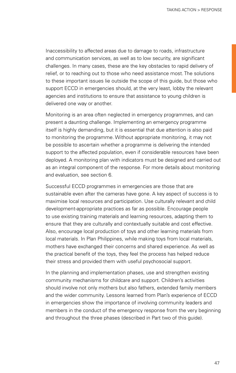Inaccessibility to affected areas due to damage to roads, infrastructure and communication services, as well as to low security, are significant challenges. In many cases, these are the key obstacles to rapid delivery of relief, or to reaching out to those who need assistance most. The solutions to these important issues lie outside the scope of this guide, but those who support ECCD in emergencies should, at the very least, lobby the relevant agencies and institutions to ensure that assistance to young children is delivered one way or another.

Monitoring is an area often neglected in emergency programmes, and can present a daunting challenge. Implementing an emergency programme itself is highly demanding, but it is essential that due attention is also paid to monitoring the programme. Without appropriate monitoring, it may not be possible to ascertain whether a programme is delivering the intended support to the affected population, even if considerable resources have been deployed. A monitoring plan with indicators must be designed and carried out as an integral component of the response. For more details about monitoring and evaluation, see [section 6](#page-91-0).

Successful ECCD programmes in emergencies are those that are sustainable even after the cameras have gone. A key aspect of success is to maximise local resources and participation. Use culturally relevant and child development-appropriate practices as far as possible. Encourage people to use existing training materials and learning resources, adapting them to ensure that they are culturally and contextually suitable and cost effective. Also, encourage local production of toys and other learning materials from local materials. In Plan Philippines, while making toys from local materials, mothers have exchanged their concerns and shared experience. As well as the practical benefit of the toys, they feel the process has helped reduce their stress and provided them with useful psychosocial support.

In the planning and implementation phases, use and strengthen existing community mechanisms for childcare and support. Children's activities should involve not only mothers but also fathers, extended family members and the wider community. Lessons learned from Plan's experience of ECCD in emergencies show the importance of involving community leaders and members in the conduct of the emergency response from the very beginning and throughout the three phases (described in [Part t](#page-30-0)wo of this guide).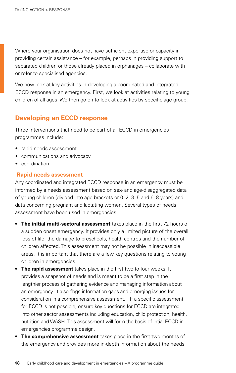<span id="page-47-0"></span>Where your organisation does not have sufficient expertise or capacity in providing certain assistance – for example, perhaps in providing support to separated children or those already placed in orphanages – collaborate with or refer to specialised agencies.

We now look at key activities in developing a coordinated and integrated ECCD response in an emergency. First, we look at activities relating to young children of all ages. We then go on to look at activities by specific age group.

## **Developing an ECCD response**

Three interventions that need to be part of all ECCD in emergencies programmes include:

- rapid needs assessment
- communications and advocacy
- coordination.

### **Rapid needs assessment**

Any coordinated and integrated ECCD response in an emergency must be informed by a needs assessment based on sex- and age-disaggregated data of young children (divided into age brackets or 0–2, 3–5 and 6–8 years) and data concerning pregnant and lactating women. Several types of needs assessment have been used in emergencies:

- **The initial multi-sectoral assessment** takes place in the first 72 hours of a sudden onset emergency. It provides only a limited picture of the overall loss of life, the damage to preschools, health centres and the number of children affected. This assessment may not be possible in inaccessible areas. It is important that there are a few key questions relating to young children in emergencies.
- **The rapid assessment** takes place in the first two-to-four weeks. It provides a snapshot of needs and is meant to be a first step in the lengthier process of gathering evidence and managing information about an emergency. It also flags information gaps and emerging issues for consideration in a comprehensive assessment[.18](#page-100-0) If a specific assessment for ECCD is not possible, ensure key questions for ECCD are integrated into other sector assessments including education, child protection, health, nutrition and WASH. This assessment will form the basis of intial ECCD in emergencies programme design.
- **The comprehensive assessment** takes place in the first two months of the emergency and provides more in-depth information about the needs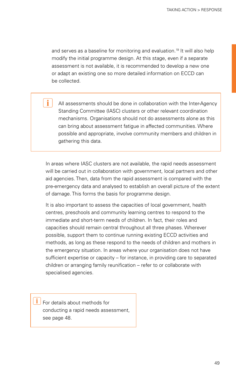and serves as a baseline for monitoring and evaluation[.19](#page-100-1) It will also help modify the initial programme design. At this stage, even if a separate assessment is not available, it is recommended to develop a new one or adapt an existing one so more detailed information on ECCD can be collected.

All assessments should be done in collaboration with the Inter-Agency Standing Committee (IASC) clusters or other relevant coordination mechanisms. Organisations should not do assessments alone as this can bring about assessment fatigue in affected communities. Where possible and appropriate, involve community members and children in gathering this data.

In areas where IASC clusters are not available, the rapid needs assessment will be carried out in collaboration with government, local partners and other aid agencies. Then, data from the rapid assessment is compared with the pre-emergency data and analysed to establish an overall picture of the extent of damage. This forms the basis for programme design.

It is also important to assess the capacities of local government, health centres, preschools and community learning centres to respond to the immediate and short-term needs of children. In fact, their roles and capacities should remain central throughout all three phases. Wherever possible, support them to continue running existing ECCD activities and methods, as long as these respond to the needs of children and mothers in the emergency situation. In areas where your organisation does not have sufficient expertise or capacity – for instance, in providing care to separated children or arranging family reunification – refer to or collaborate with specialised agencies.

 $\left| \begin{array}{c} \mathbf{i} \end{array} \right|$  For details about methods for conducting a rapid needs assessment, see page [48](#page-47-0).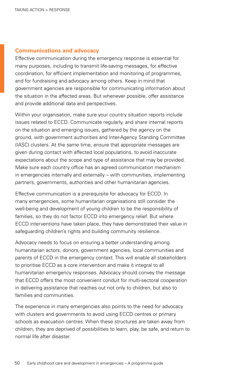#### **Communications and advocacy**

Effective communication during the emergency response is essential for many purposes, including to transmit life-saving messages, for effective coordination, for efficient implementation and monitoring of programmes, and for fundraising and advocacy among others. Keep in mind that government agencies are responsible for communicating information about the situation in the affected areas. But whenever possible, offer assistance and provide additional data and perspectives.

Within your organisation, make sure your country situation reports include issues related to ECCD. Communicate regularly, and share internal reports on the situation and emerging issues, gathered by the agency on the ground, with government authorities and Inter-Agency Standing Committee (IASC) clusters. At the same time, ensure that appropriate messages are given during contact with affected local populations, to avoid inaccurate expectations about the scope and type of assistance that may be provided. Make sure each country office has an agreed communication mechanism in emergencies internally and externally – with communities, implementing partners, governments, authorities and other humanitarian agencies.

Effective communication is a prerequisite for advocacy for ECCD. In many emergencies, some humanitarian organisations still consider the well-being and development of young children to be the responsibility of families, so they do not factor ECCD into emergency relief. But where ECCD interventions have taken place, they have demonstrated their value in safeguarding children's rights and building community resilience.

Advocacy needs to focus on ensuring a better understanding among humanitarian actors, donors, government agencies, local communities and parents of ECCD in the emergency context. This will enable all stakeholders to prioritise ECCD as a core intervention and make it integral to all humanitarian emergency responses. Advocacy should convey the message that ECCD offers the most convenient conduit for multi-sectoral cooperation in delivering assistance that reaches out not only to children, but also to families and communities.

The experience in many emergencies also points to the need for advocacy with clusters and governments to avoid using ECCD centres or primary schools as evacuation centres. When these structures are taken away from children, they are deprived of possibilities to learn, play, be safe, and return to normal life after disaster.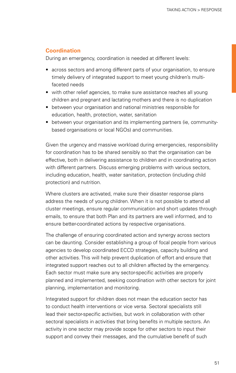## <span id="page-50-0"></span>**Coordination**

During an emergency, coordination is needed at different levels:

- across sectors and among different parts of your organisation, to ensure timely delivery of integrated support to meet young children's multifaceted needs
- with other relief agencies, to make sure assistance reaches all young children and pregnant and lactating mothers and there is no duplication
- between your organisation and national ministries responsible for education, health, protection, water, sanitation
- between your organisation and its implementing partners (ie, communitybased organisations or local NGOs) and communities.

Given the urgency and massive workload during emergencies, responsibility for coordination has to be shared sensibly so that the organisation can be effective, both in delivering assistance to children and in coordinating action with different partners. Discuss emerging problems with various sectors, including education, health, water sanitation, protection (including child protection) and nutrition.

Where clusters are activated, make sure their disaster response plans address the needs of young children. When it is not possible to attend all cluster meetings, ensure regular communication and short updates through emails, to ensure that both Plan and its partners are well informed, and to ensure better-coordinated actions by respective organisations.

The challenge of ensuring coordinated action and synergy across sectors can be daunting. Consider establishing a group of focal people from various agencies to develop coordinated ECCD strategies, capacity building and other activities. This will help prevent duplication of effort and ensure that integrated support reaches out to all children affected by the emergency. Each sector must make sure any sector-specific activities are properly planned and implemented, seeking coordination with other sectors for joint planning, implementation and monitoring.

Integrated support for children does not mean the education sector has to conduct health interventions or vice versa. Sectoral specialists still lead their sector-specific activities, but work in collaboration with other sectoral specialists in activities that bring benefits in multiple sectors. An activity in one sector may provide scope for other sectors to input their support and convey their messages, and the cumulative benefit of such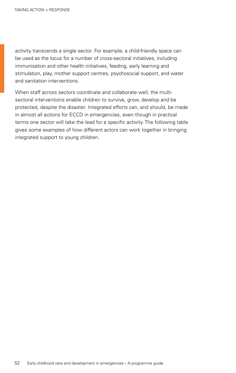activity transcends a single sector. For example, a child-friendly space can be used as the locus for a number of cross-sectoral initiatives, including immunisation and other health initiatives, feeding, early learning and stimulation, play, mother support centres, psychosocial support, and water and sanitation interventions.

When staff across sectors coordinate and collaborate well, the multisectoral interventions enable children to survive, grow, develop and be protected, despite the disaster. Integrated efforts can, and should, be made in almost all actions for ECCD in emergencies, even though in practical terms one sector will take the lead for a specific activity. The following table gives some examples of how different actors can work together in bringing integrated support to young children.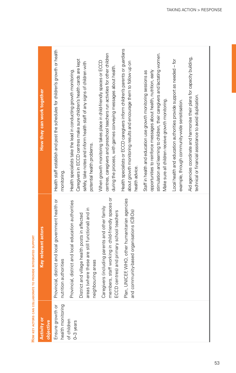| <b>DOV/IDE</b> |  |
|----------------|--|
| $\overline{ }$ |  |
| ı              |  |
| i              |  |
|                |  |
| į              |  |
| Ē              |  |

Ë

| Activity or<br>objective              | Key relevant actors                                                                                                                                                            | How they can work together                                                                                                                                                                                                                                                |
|---------------------------------------|--------------------------------------------------------------------------------------------------------------------------------------------------------------------------------|---------------------------------------------------------------------------------------------------------------------------------------------------------------------------------------------------------------------------------------------------------------------------|
| health monitoring<br>Ensure growth or | Provincial, district and local government health or<br>nutrition authorities                                                                                                   | Health staff establish and post the schedules for children's growth or health<br>monitoring.                                                                                                                                                                              |
| of children<br>0-3 years              | Provincial, district and local education authorities<br>areas (where these are still functional) and in<br>District and village health posts in affected<br>neighbouring areas | Caregivers in ECCD centres make sure children's health cards are kept<br>safely, take notes and inform health staff of any signs of children with<br>Health specialists take the lead in conducting growth monitoring.<br>potential health problems.                      |
|                                       | members, staff working in child-friendly spaces or<br>Caregivers (including parents and other family<br>ECCD centres) and primary school teachers                              | centres, caregivers and preschool teachers run activities for other children<br>When growth monitoring takes place in child-friendly spaces or ECCD<br>during the process, with games conveying messages about health.                                                    |
|                                       | Plan, UNICEF, WHO, other humanitarian agencies<br>and community-based organisations (CBOs)                                                                                     | Health specialists or ECCD caregivers inform children's parents or guardians<br>about growth monitoring results and encourage them to follow up on<br>health advice.                                                                                                      |
|                                       |                                                                                                                                                                                | stimulation and learning to children, their caregivers and lactating women.<br>opportunities to reinforce messages about health, nutrition, early<br>Staff in health and education use growth monitoring sessions as<br>Make sure all children receive growth monitoring. |
|                                       |                                                                                                                                                                                | Local health and education authorities provide support as needed - for<br>example, through community-wide sensitisation.                                                                                                                                                  |
|                                       |                                                                                                                                                                                | Aid agencies coordinate and harmonise their plans for capacity building,<br>technical or financial assistance to avoid duplication.                                                                                                                                       |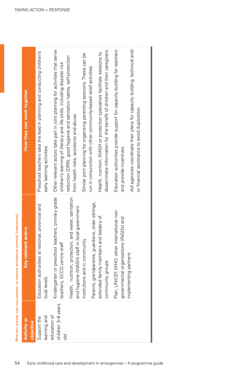| <b>Activity or</b>                      | vant actors<br>Key rele                                                                              | How they can work together                                                                                                                              |
|-----------------------------------------|------------------------------------------------------------------------------------------------------|---------------------------------------------------------------------------------------------------------------------------------------------------------|
| objective                               |                                                                                                      |                                                                                                                                                         |
| Support the                             | national, provincial and<br>Education authorities at                                                 | Preschool teachers take the lead in planning and conducting children's                                                                                  |
| learning and                            | local levels                                                                                         | early learning activities.                                                                                                                              |
| children 3-6 years<br>education of<br>응 | Kindergarten or preschool teachers, primary grade<br>teachers, ECCD centre staff                     | Other relevant actors take part in joint planning for activities that serve<br>children's learning of literacy and life skills, including disaster risk |
|                                         | Health, nutrition, protection, and water, sanitation<br>and hygiene (WASH) staff in local government | reduction (DRR), good hygiene and sanitation habits, self-protection<br>from health risks, accidents and abuse.                                         |
|                                         | institutions and in community                                                                        | Similar joint planning for organising parenting sessions. These can be                                                                                  |
|                                         | Parents, grandparents, guardians, older siblings,                                                    | run in conjunction with other community-based relief activities.                                                                                        |
|                                         | extended family members and leaders of                                                               | Health, nutrition, WASH or protection specialists facilitate sessions to                                                                                |
|                                         | community groups                                                                                     | disseminate information for the benefit of children and their caregivers.                                                                               |
|                                         | Plan, UNICEF, WHO, other international non-<br>governmental organisations (INGOs) and                | Education authorities provide support for capacity building for teachers<br>and provide incentives.                                                     |
|                                         | implementing partners                                                                                | Aid agencies coordinate their plans for capacity building, technical and/<br>or financial assistance to avoid duplication.                              |
|                                         |                                                                                                      |                                                                                                                                                         |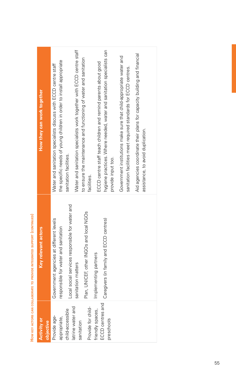| How they can work together | Water and sanitation specialists work together with ECCD centre staff<br>hygiene practices. Where needed, water and sanitation specialists can<br>Aid agencies coordinate their plans for capacity building and financial<br>Government institutions make sure that child-appropriate water and<br>to ensure the maintenance and functioning of water and sanitation<br>the specific needs of young children in order to install appropriate<br>ECCD centre staff teach children and remind parents about good<br>Water and sanitation specialists discuss with ECCD centre staff<br>sanitation facilities meet required standards for ECCD centres.<br>assistance, to avoid duplication.<br>sanitation facilities.<br>provide input too.<br>facilities. |
|----------------------------|----------------------------------------------------------------------------------------------------------------------------------------------------------------------------------------------------------------------------------------------------------------------------------------------------------------------------------------------------------------------------------------------------------------------------------------------------------------------------------------------------------------------------------------------------------------------------------------------------------------------------------------------------------------------------------------------------------------------------------------------------------|
| Key relevant actors        | social services responsible for water and<br>Plan, UNICEF, other INGOs and local NGOs<br>Caregivers (in family and ECCD centres)<br>Government agencies at different levels<br>responsible for water and sanitation<br>Implementing partners<br>sanitation matters<br>Local                                                                                                                                                                                                                                                                                                                                                                                                                                                                              |
| Activity or<br>objective   | ECCD centres and<br>Provide for child-<br>latrine water and<br>friendly spaces,<br>child-accessible<br>Provide age-<br>appropriate,<br>preschools<br>sanitation                                                                                                                                                                                                                                                                                                                                                                                                                                                                                                                                                                                          |

HOW KEY ACTORS CAN COLLABORATE TO PROVIDE INTEGRATED SUPPORT (CONTINUED) **How key actors can collaborate to provide integrated support (continued)**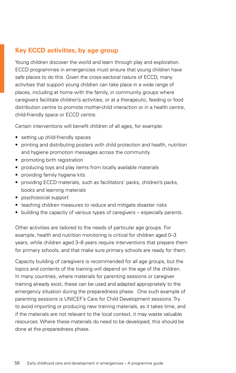## **Key ECCD activities, by age group**

Young children discover the world and learn through play and exploration. ECCD programmes in emergencies must ensure that young children have safe places to do this. Given the cross-sectoral nature of ECCD, many activities that support young children can take place in a wide range of places, including at home with the family, in community groups where caregivers facilitate children's activities, or at a therapeutic, feeding or food distribution centre to promote mother-child interaction or in a health centre, child-friendly space or ECCD centre.

Certain interventions will benefit children of all ages, for example:

- setting up child-friendly spaces
- printing and distributing posters with child protection and health, nutrition and hygiene promotion messages across the community
- promoting birth registration
- producing toys and play items from locally available materials
- providing family hygiene kits
- providing ECCD materials, such as facilitators' packs, children's packs, books and learning materials
- psychosocial support
- teaching children measures to reduce and mitigate disaster risks
- building the capacity of various types of caregivers especially parents.

Other activities are tailored to the needs of particular age groups. For example, health and nutrition monitoring is critical for children aged 0–3 years, while children aged 3–8 years require interventions that prepare them for primary schools, and that make sure primary schools are ready for them.

Capacity building of caregivers is recommended for all age groups, but the topics and contents of the training will depend on the age of the children. In many countries, where materials for parenting sessions or caregiver training already exist, these can be used and adapted appropriately to the emergency situation during the preparedness phase. One such example of parenting sessions is UNICEF's Care for Child Development sessions. Try to avoid importing or producing new training materials, as it takes time, and if the materials are not relevant to the local context, it may waste valuable resources. Where these materials do need to be developed, this should be done at the preparedness phase.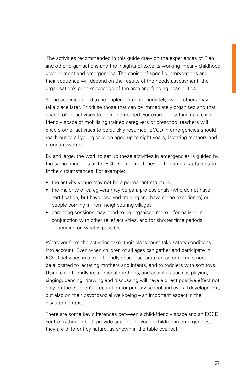The activities recommended in this guide draw on the experiences of Plan and other organisations and the insights of experts working in early childhood development and emergencies. The choice of specific interventions and their sequence will depend on the results of the needs assessment, the organisation's prior knowledge of the area and funding possibilities.

Some activities need to be implemented immediately, while others may take place later. Prioritise those that can be immediately organised and that enable other activities to be implemented. For example, setting up a childfriendly space or mobilising trained caregivers or preschool teachers will enable other activities to be quickly resumed. ECCD in emergencies should reach out to all young children aged up to eight years, lactating mothers and pregnant women.

By and large, the work to set up these activities in emergencies is guided by the same principles as for ECCD in normal times, with some adaptations to fit the circumstances. For example:

- the activity venue may not be a permanent structure
- the majority of caregivers may be para-professionals (who do not have certification, but have received training and have some experience) or people coming in from neighbouring villages
- parenting sessions may need to be organised more informally or in conjunction with other relief activities, and for shorter time periods depending on what is possible.

Whatever form the activities take, their plans must take safety conditions into account. Even when children of all ages can gather and participate in ECCD activities in a child-friendly space, separate areas or corners need to be allocated to lactating mothers and infants, and to toddlers with soft toys. Using child-friendly instructional methods, and activities such as playing, singing, dancing, drawing and discussing will have a direct positive effect not only on the children's preparation for primary school and overall development, but also on their psychosocial well-being – an important aspect in the disaster context.

There are some key differences between a child-friendly space and an ECCD centre. Although both provide support for young children in emergencies, they are different by nature, as shown in the table overleaf.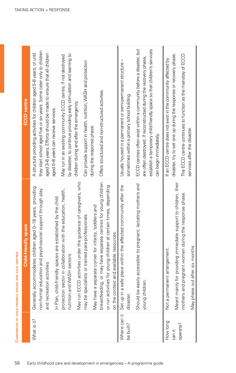|                           | Child-friendly space                                                                                                                                                                                                 | <b>ECCD</b> centre                                                                                                                                                                                                                                            |
|---------------------------|----------------------------------------------------------------------------------------------------------------------------------------------------------------------------------------------------------------------|---------------------------------------------------------------------------------------------------------------------------------------------------------------------------------------------------------------------------------------------------------------|
| What is it?               | Generally accommodates children aged 0-18 years, providing<br>non-formal education and psychosocial support through play<br>In Plan, child-friendly spaces are established by the child<br>and recreation activities | they start school aged five or six years. Some cater only to children<br>A structure providing activities for children aged 0-8 years, or until<br>aged 3-6 years. Efforts should be made to ensure that all children<br>aged 0-8 years can receive services. |
|                           | protection sector in collaboration with the education, health,<br>nutrition and WASH sectors.                                                                                                                        | by disaster, to continue providing early stimulation and learning to<br>May run in an existing community ECCD centre, if not destroyed<br>children during and after the emergency.                                                                            |
|                           | May run ECCD activities under the guidance of caregivers, who<br>May have a separate corner for infants, toddlers and<br>para-professionals.<br>may be specialists or trained                                        | Can provide support in health, nutrition, VVASH and protection<br>during the response phase.                                                                                                                                                                  |
|                           | breastfeeding, or may have separate centres for young children<br>or run activities for young children at certain times, depending<br>on the context and available resources.                                        | Offers structured and non-structured activities.                                                                                                                                                                                                              |
| Where can it<br>be built? | Set up in a safe place within the affected community after the<br>disaster.                                                                                                                                          | Usually housed in a permanent or semi-permanent structure-<br>sometimes within a primary school building.                                                                                                                                                     |
|                           | pregnant, lactating mothers and<br>Should be easily accessible to<br>young children.                                                                                                                                 | ECCD centres often exist within a community before a disaster, but<br>establish a temporary child-friendly space so that children's services<br>are often destroyed. If reconstructed during the recovery phase,<br>can begin immediately.                    |
| How long                  | Not a permanent arrangement.                                                                                                                                                                                         | If an ECCD centre does not exist in the community affected by                                                                                                                                                                                                 |
| operate?<br>can it        | Meant mainly for providing immediate support to children, their<br>mothers and pregnant women during the response phase.                                                                                             | disaster, try to set one up during the response or recovery phase.<br>The ECCD centre continues to function as the mainstay of ECCD                                                                                                                           |
|                           | May phase out after six months.                                                                                                                                                                                      | services after the disaster.                                                                                                                                                                                                                                  |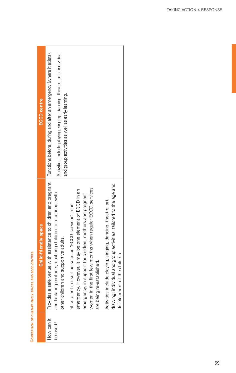| ı<br>l<br>ï<br>l<br>l                                                                                                                                                    |  |
|--------------------------------------------------------------------------------------------------------------------------------------------------------------------------|--|
| I<br>ׇ֚֡֕<br>١<br>Ī                                                                                                                                                      |  |
| ļ<br>١<br>i<br>ï<br>í<br>í                                                                                                                                               |  |
| I<br>ı<br>l<br>l<br>I                                                                                                                                                    |  |
| i                                                                                                                                                                        |  |
| <b>STATE</b><br>I<br><b>Contract Contract Contract Contract Contract Contract Contract Contract Contract Contract Contract Contract Co</b><br>l<br>ı<br>ı<br>l<br>ł<br>١ |  |
| ı<br>í<br>ׇ֚֬֕<br>i<br>֚֬֕<br>í<br>í<br>í<br>I                                                                                                                           |  |
| j                                                                                                                                                                        |  |

| <b>ECCD</b> centre          | Activities include playing, singing, dancing, theatre, arts, individual<br>and group activities as well as early learning.                                                                                                                                                                                                                                                                                                                                                                                                                                                                                                                                                               |
|-----------------------------|------------------------------------------------------------------------------------------------------------------------------------------------------------------------------------------------------------------------------------------------------------------------------------------------------------------------------------------------------------------------------------------------------------------------------------------------------------------------------------------------------------------------------------------------------------------------------------------------------------------------------------------------------------------------------------------|
| <b>Child-friendly space</b> | Provides a safe venue with assistance to children and pregnant Functions before, during and after an emergency (where it exists).<br>drawing, individual and group activities, tailored to the age and<br>women in the first few months when regular ECCD services<br>However, it may be one element of ECCD in an<br>and lactating mothers, enabling children to reconnect with<br>emergency, in support for children, mothers and pregnant<br>Activities include playing, singing, dancing, theatre, art,<br>Should not in itself be seen as 'ECCD services' in an<br>other children and supportive adults.<br>development of the children.<br>are being re-established.<br>emergency. |
|                             | How can it<br>be used?                                                                                                                                                                                                                                                                                                                                                                                                                                                                                                                                                                                                                                                                   |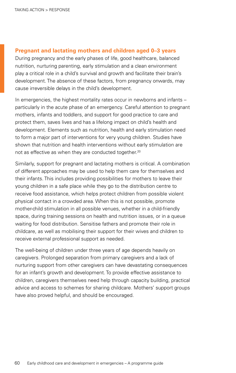#### **Pregnant and lactating mothers and children aged 0–3 years**

During pregnancy and the early phases of life, good healthcare, balanced nutrition, nurturing parenting, early stimulation and a clean environment play a critical role in a child's survival and growth and facilitate their brain's development. The absence of these factors, from pregnancy onwards, may cause irreversible delays in the child's development.

In emergencies, the highest mortality rates occur in newborns and infants particularly in the acute phase of an emergency. Careful attention to pregnant mothers, infants and toddlers, and support for good practice to care and protect them, saves lives and has a lifelong impact on child's health and development. Elements such as nutrition, health and early stimulation need to form a major part of interventions for very young children. Studies have shown that nutrition and health interventions without early stimulation are not as effective as when they are conducted together.<sup>[20](#page-100-2)</sup>

Similarly, support for pregnant and lactating mothers is critical. A combination of different approaches may be used to help them care for themselves and their infants. This includes providing possibilities for mothers to leave their young children in a safe place while they go to the distribution centre to receive food assistance, which helps protect children from possible violent physical contact in a crowded area. When this is not possible, promote mother-child stimulation in all possible venues, whether in a child-friendly space, during training sessions on health and nutrition issues, or in a queue waiting for food distribution. Sensitise fathers and promote their role in childcare, as well as mobilising their support for their wives and children to receive external professional support as needed.

The well-being of children under three years of age depends heavily on caregivers. Prolonged separation from primary caregivers and a lack of nurturing support from other caregivers can have devastating consequences for an infant's growth and development. To provide effective assistance to children, caregivers themselves need help through capacity building, practical advice and access to schemes for sharing childcare. Mothers' support groups have also proved helpful, and should be encouraged.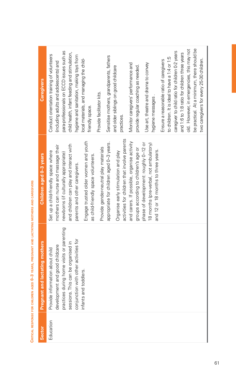| <b>Caregivers</b>                 | be practical. At a minimum, there should be<br>old. However, in emergencies, this may not<br>caregiver to child ratio for children 0-2 years<br>para-professionals on ECCD issues such as<br>child health, infant feeding and stimulation,<br>and 1:6 to 1:8 ratio for children three years<br>Conduct orientation training of volunteers<br>hygiene and sanitation, making toys from<br>Sensitise mothers, grandparents, fathers<br>to children. It is ideal to have a 1:4 or 1:5<br>two caregivers for every 25-30 children.<br>local materials, and managing the child-<br>Ensure a reasonable ratio of caregivers<br>(including adults and adolescents) and<br>Monitor caregivers' performance and<br>Use art, theatre and drama to convey<br>provide regular coaching as needed.<br>and older siblings on good childcare<br>Provide facilitator kits.<br>hygiene messages.<br>friendly space.<br>practices. |
|-----------------------------------|------------------------------------------------------------------------------------------------------------------------------------------------------------------------------------------------------------------------------------------------------------------------------------------------------------------------------------------------------------------------------------------------------------------------------------------------------------------------------------------------------------------------------------------------------------------------------------------------------------------------------------------------------------------------------------------------------------------------------------------------------------------------------------------------------------------------------------------------------------------------------------------------------------------|
| Children aged 0-3 years           | activities for children that involve parents<br>Engage trusted older women and youth<br>and carers. If possible, organise activity<br>appropriate for children aged 0-3 years.<br>phase of development: roughly 0-12 or<br>8 months (pre-verbal, not ambulatory)<br>and children can play and interact with<br>mothers can nurse and massage their<br>Provide gender-neutral play materials<br>groups according to children's age or<br>and 12 or 18 months to three years.<br>Set up a child-friendly space where<br>Organise early stimulation and play<br>newborns (if culturally appropriate)<br>as child-friendly space volunteers.<br>parents and other caregivers.                                                                                                                                                                                                                                        |
| and lactating mothers<br>Pregnant | practices during home visits or parenting<br>conjunction with other activities for<br>This can be organised in<br>development and good childcare<br>Provide information about child<br>toddlers.<br>infants and<br>sessions. Th                                                                                                                                                                                                                                                                                                                                                                                                                                                                                                                                                                                                                                                                                  |
| <b>Sector</b>                     | Education                                                                                                                                                                                                                                                                                                                                                                                                                                                                                                                                                                                                                                                                                                                                                                                                                                                                                                        |

CRITICAL RESPONSE FOR CHILDREN AGED 0-3 YEARS, PREGNANT AND LACTATING MOTHERS AND CAREGIVERS **Critical response for children aged 0–3 years, pregnant and lactating mothers and caregivers**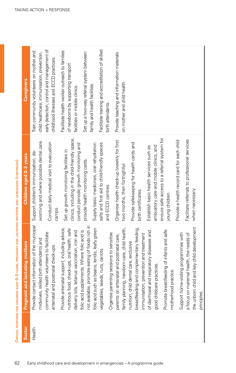| <b>Sector</b> | hers<br><b>Pregnant and lactating mot</b>                                                                                                          | Children aged 0-3 years                                                                                                             | <b>Caregivers</b>                                                                                                     |
|---------------|----------------------------------------------------------------------------------------------------------------------------------------------------|-------------------------------------------------------------------------------------------------------------------------------------|-----------------------------------------------------------------------------------------------------------------------|
| Health        | Provide contact information of the municipal                                                                                                       | Support children's immunisation, de-                                                                                                | Train community volunteers on mother and                                                                              |
|               | midwives, skilled birth attendants and                                                                                                             | worming and where possible dental care.                                                                                             | child healthcare, immunisation, prevention,                                                                           |
|               | community health volunteers to facilitate<br>antenatal and postnatal check-ups.                                                                    | Conduct daily medical visit to evacuation<br>camps.                                                                                 | early detection, control and management of<br>childhood illnesses and ECCD practices.                                 |
|               | Provide antenatal support, including advice,<br>nealth, safe<br>delivery kits, tetanus vaccination, iron and<br>nutritious food, check-ups, oral   | clinics, including in the child-friendly space,<br>conduct periodic growth monitoring and<br>Set up growth monitoring facilities in | Facilitate health worker outreach to families<br>of newborns by supporting transport<br>facilities or mobile clinics. |
|               | not available, promote eating of foods rich in<br>leafy green<br>folic acid supplements. Where folic acid is<br>folic acid such as beans, lentils, | Supply basic medicines, oral rehydration<br>provide health monitoring cards.                                                        | Set up a two-way referral system between<br>family and health facilities.                                             |
|               | vegetables, seeds, nuts, carrots.                                                                                                                  | salts and first aid to child-friendly spaces                                                                                        | Facilitate training and accreditation of skilled                                                                      |
|               | Organise parenting sessions to sensitise                                                                                                           | and ECCD centres.                                                                                                                   | birth attendants.                                                                                                     |
|               | parents on antenatal and postnatal care,                                                                                                           | Organise health check-up (weekly for first                                                                                          | Provide teaching and information materials                                                                            |
|               | child health,<br>family planning, newborn care,                                                                                                    | two months, then fortnightly).                                                                                                      | on mother and child health.                                                                                           |
|               | nutrition, child dental care, exclusive                                                                                                            | Provide safekeeping for health cards and                                                                                            |                                                                                                                       |
|               | breastfeeding and complementary feeding,<br>immunisation, prevention and treatment                                                                 | birth certificates.                                                                                                                 |                                                                                                                       |
|               | of diarrhoeal and respiratory diseases and                                                                                                         | Establish basic health services such as                                                                                             |                                                                                                                       |
|               | good childcare practices.                                                                                                                          | ambuatory care and mobile clinics, and                                                                                              |                                                                                                                       |
|               | Promote breastfeeding of infants and safe<br>motherhood practice.                                                                                  | ensure safe access to a referral system for<br>young children.                                                                      |                                                                                                                       |
|               | Support home-visiting programmes with                                                                                                              | Provide a health record card for each child                                                                                         |                                                                                                                       |
|               | needs of<br>a focus on maternal health, the                                                                                                        | Facilitate referrals to professional services                                                                                       |                                                                                                                       |
|               | the unborn child and key child development                                                                                                         | when necessary.                                                                                                                     |                                                                                                                       |
|               | principles.                                                                                                                                        |                                                                                                                                     |                                                                                                                       |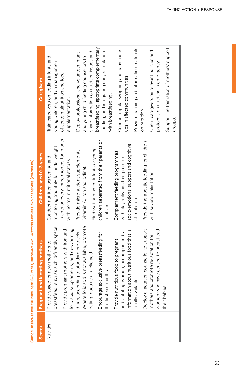| Nutrition<br>Sector | <b>Pregnant and lactating mothers</b><br>Provide space for new mothers to                                                          | Children aged 0-3 years<br>Conduct nutrition screening and                                                           | Train caregivers on feeding infants and<br>Caregivers                                                                           |
|---------------------|------------------------------------------------------------------------------------------------------------------------------------|----------------------------------------------------------------------------------------------------------------------|---------------------------------------------------------------------------------------------------------------------------------|
|                     | such as a child-friendly space.<br>folic acid supplements, and de-worming<br>Provide pregnant mothers with iron and<br>breastfeed, | infants or every three months for infants<br>monitoring (monthly for underweight<br>with normal nutritional status). | young children, and on management<br>of acute malnutrition and food<br>supplementation.                                         |
|                     | Where folic acid is not available, promote<br>drugs, according to standard protocols.<br>Is rich in folic acid.<br>eating food     | Find wet nurses for infants or young<br>Provide micronutrient supplements<br>(vitamin A, iron and iodine).           | share information on nutrition issues and<br>Deploy professional and volunteer infant<br>and young child feeding counsellors to |
|                     | exclusive breastfeeding for<br>the first six months.<br>Encourage                                                                  | children separated from their parents or<br>relatives.                                                               | breastfeeding, appropriate complementary<br>feeding, and integrating early stimulation<br>with breastfeeding.                   |
|                     | information about nutritious food that is<br>ng women, accompanied by<br>Provide nutritious food to pregnant<br>and lactatin       | socio-emotional support and cognitive<br>Complement feeding programmes<br>with play activities that promote          | Conduct regular weighing and baby check-<br>ups in affected communities.                                                        |
|                     | Deploy a lactation counsellor to support<br>locally available.                                                                     | Provide therapeutic feeding for children<br>stimulation.                                                             | Provide teaching and information materials<br>on nutrition.                                                                     |
|                     | women who have ceased to breastfeed<br>mothers and promote re-lactation for                                                        | with severe malnutrition.                                                                                            | Orient caregivers on relevant policies and<br>protocols on nutrition in emergency.                                              |
|                     | their babies                                                                                                                       |                                                                                                                      | Support the formation of mothers' support<br>groups.                                                                            |

CRITICAL RESPONSE FOR CHILDREN AGED 0-3 YEARS. PREGNANT AND LACTATING MOTHERS AND CAREGIVERS (CONTINUED) **Critical response for children aged 0–3 years, pregnant and lactating mothers and caregivers (continued)**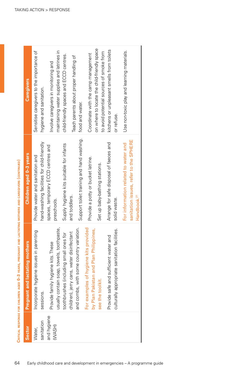| Sector                | <b>nd lactating mothers</b><br>Pregnant ar                                                                                     | Children aged 0-3 years                                           | <b>Caregivers</b>                                                                       |
|-----------------------|--------------------------------------------------------------------------------------------------------------------------------|-------------------------------------------------------------------|-----------------------------------------------------------------------------------------|
| Water,                | hygiene issues in parenting<br>Incorporate                                                                                     | Provide water and sanitation and                                  | Sensitise caregivers to the importance of                                               |
| sanitation            | sessions.                                                                                                                      | hand-washing facilities for child-friendly                        | hygiene and sanitation.                                                                 |
| and hygiene<br>(WASH) | usually contain soap, towels, toothpaste,<br>Provide family hygiene kits. These                                                | spaces, temporary ECCD centres and<br>preschools.                 | maintaining water supplies and latrines in<br>Involve caregivers in monitoring and      |
|                       |                                                                                                                                | Supply hygiene kits suitable for infants                          | child-friendly spaces and ECCD centres.                                                 |
|                       | toothbrushes (including small ones for<br>children), jerry cans, water disinfectant<br>and combs, with some country variation. | and toddlers.                                                     | Teach parents about proper handling of                                                  |
|                       |                                                                                                                                | Support toilet training and hand washing.                         | food and water.                                                                         |
|                       | For examples of hygiene kits provided<br>by Plan Pakistan and Plan Philippines,                                                | Provide a potty or bucket latrine.                                | Coordinate with the camp management                                                     |
|                       | š<br>see the tool                                                                                                              | Set up baby-bathing stations.                                     | on where to locate the child-friendly space<br>to avoid potential sources of smoke from |
|                       | and sufficient water and<br>Provide safe                                                                                       | Arrange for safe disposal of faeces and                           | kitchens or unpleasant smells from toilets                                              |
|                       | culturally appropriate sanitation facilities.                                                                                  | solid waste.                                                      | or refuse.                                                                              |
|                       |                                                                                                                                | For information related to water and                              | Use non-toxic play and learning materials.                                              |
|                       |                                                                                                                                | sanitation issues, refer to the SPHERE<br>Handbook. <sup>21</sup> |                                                                                         |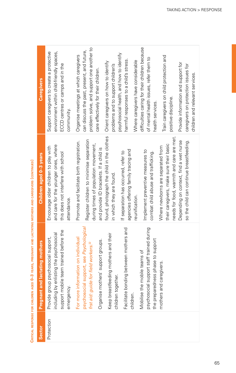| Caregivers                     | Support caregivers to create a protective<br>environment within child-friendly spaces,<br>ECCD centres or camps and in the<br>community. | problem solve, and support one another to<br>can discuss the past, present, and future,<br>Organise meetings at which caregivers<br>care effectively for their children.  | psychosocial health, and how to identify<br>harmful responses to a child's stress.<br>Orient caregivers on how to identify<br>problems and to support children's | difficulties caring for their children because<br>of mental health issues, refer them to<br>Where caregivers have considerable<br>health services. | Train caregivers on child protection and<br>Provide information and support for<br>caregivers on protection issues for<br>children and relevant services.<br>positive discipline.                              |
|--------------------------------|------------------------------------------------------------------------------------------------------------------------------------------|---------------------------------------------------------------------------------------------------------------------------------------------------------------------------|------------------------------------------------------------------------------------------------------------------------------------------------------------------|----------------------------------------------------------------------------------------------------------------------------------------------------|----------------------------------------------------------------------------------------------------------------------------------------------------------------------------------------------------------------|
| Children aged 0-3 years        | and care for the younger ones, where<br>Encourage older children to play with<br>this does not interfere with school<br>attendance.      | Register children to minimise separation<br>Promote and facilitate birth registration.<br>during times of population movement,<br>and provide ID bracelets. If a child is | found, photograph the child in the clothes<br>agencies offering family tracing and<br>If separation has occurred, refer to<br>in which they are found.           | Implement preventive measures to<br>combat child abuse and trafficking.<br>reunification.                                                          | needs for food, warmth and care are met.<br>so the child can continue breastfeeding.<br>Depending on context, find a wet nurse<br>their caregivers, make sure their basic<br>Where newborns are separated from |
| Pregnant and lactating mothers | support mobile team trained before the<br>including by enlisting the psychosocial<br>Provide group psychosocial support,<br>emergency    | psychosocial support, see Psychological<br>For more information on individual<br>Organise mothers' support groups.<br>frst aid: guide for field workers. <sup>22</sup>    | Facilitate bonding between mothers and<br>Keep breastfeeding mothers and their<br>jether.<br>children tog<br>children.                                           | psychosocial support staff trained during<br>the preparedness phase to support<br>Mobilise the mobile teams of                                     | mothers and caregivers.                                                                                                                                                                                        |
| Sector                         | Protection                                                                                                                               |                                                                                                                                                                           |                                                                                                                                                                  |                                                                                                                                                    |                                                                                                                                                                                                                |

CRITICAL RESPONSE FOR CHILDREN AGED 0-3 YEARS, PREGNANT AND LACTATING MOTHERS AND CAREGIVERS (CONTINUED) **Critical response for children aged 0–3 years, pregnant and lactating mothers and caregivers (continued)**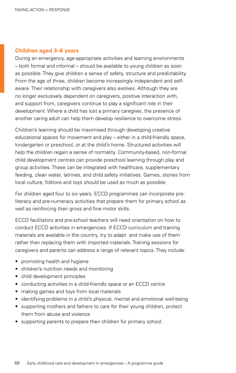#### **Children aged 3–6 years**

During an emergency, age-appropriate activities and learning environments – both formal and informal – should be available to young children as soon as possible. They give children a sense of safety, structure and predictability. From the age of three, children become increasingly independent and selfaware. Their relationship with caregivers also evolves. Although they are no longer exclusively dependent on caregivers, positive interaction with, and support from, caregivers continue to play a significant role in their development. Where a child has lost a primary caregiver, the presence of another caring adult can help them develop resilience to overcome stress.

Children's learning should be maximised through developing creative educational spaces for movement and play – either in a child-friendly space, kindergarten or preschool, or at the child's home. Structured activities will help the children regain a sense of normality. Community-based, non-formal child development centres can provide preschool learning through play and group activities. These can be integrated with healthcare, supplementary feeding, clean water, latrines, and child safety initiatives. Games, stories from local culture, folklore and toys should be used as much as possible.

For children aged four to six years, ECCD programmes can incorporate preliteracy and pre-numeracy activities that prepare them for primary school as well as reinforcing their gross and fine motor skills.

ECCD facilitators and pre-school teachers will need orientation on how to conduct ECCD activities in emergencies. If ECCD curriculum and training materials are available in the country, try to adapt and make use of them rather than replacing them with imported materials. Training sessions for caregivers and parents can address a range of relevant topics. They include:

- promoting health and hygiene
- children's nutrition needs and monitoring
- child development principles
- conducting activities in a child-friendly space or an ECCD centre
- making games and toys from local materials
- identifying problems in a child's physical, mental and emotional well-being
- supporting mothers and fathers to care for their young children, protect them from abuse and violence
- supporting parents to prepare their children for primary school.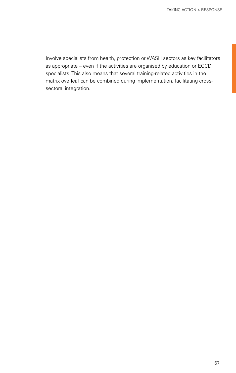Involve specialists from health, protection or WASH sectors as key facilitators as appropriate – even if the activities are organised by education or ECCD specialists. This also means that several training-related activities in the matrix overleaf can be combined during implementation, facilitating crosssectoral integration.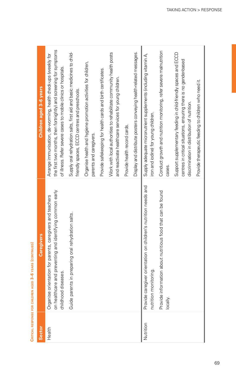|                                                                               | Children aged 3-6 years | the first two months, then fortnightly) and screening for symptoms<br>Arrange immunisation, de-worming, health check-ups (weekly for<br>of illness. Refer severe cases to mobile clinics or hospitals. | Supply oral rehydration salts, first aid and basic medicines to child-<br>friendly spaces, ECCD centres and preschools. | Organise health and hygiene promotion activities for children,<br>parents and caregivers. | Provide safekeeping for health cards and birth certificates. | Work with local authorities to rehabilitate community health posts<br>and reactivate healthcare services for young children. | Provide health record cards. | Display and distribute posters conveying health-related messages. | Supply adequate micronutrient supplements (including vitamin A,<br>iron and iodine) for young children. | Conduct growth and nutrition monitoring, refer severe malnutrition<br>cases. | Support supplementary feeding in child-friendly spaces and ECCD<br>centres in critical situations, ensuring there is no gender-based<br>discrimination in distribution of nutrition. | Provide therapeutic feeding to children who need it. |
|-------------------------------------------------------------------------------|-------------------------|--------------------------------------------------------------------------------------------------------------------------------------------------------------------------------------------------------|-------------------------------------------------------------------------------------------------------------------------|-------------------------------------------------------------------------------------------|--------------------------------------------------------------|------------------------------------------------------------------------------------------------------------------------------|------------------------------|-------------------------------------------------------------------|---------------------------------------------------------------------------------------------------------|------------------------------------------------------------------------------|--------------------------------------------------------------------------------------------------------------------------------------------------------------------------------------|------------------------------------------------------|
| ובמשירו וייראו פתאם (כשווי ויירש<br>אי איבווריטי בינו הבסיר ביטו אינו הבוא אל | <b>Caregivers</b>       | e and preventing and identifying common early<br>ientation for parents, caregivers and teachers<br>childhood diseases.<br>on healthcar<br>Organise or                                                  | Guide parents in preparing oral rehydration salts.                                                                      |                                                                                           |                                                              |                                                                                                                              |                              |                                                                   | Provide caregiver orientation on children's nutrition needs and<br>nutrition monitoring                 | Provide information about nutritious food that can be found<br>locally.      |                                                                                                                                                                                      |                                                      |
|                                                                               | <b>Sector</b>           | Health                                                                                                                                                                                                 |                                                                                                                         |                                                                                           |                                                              |                                                                                                                              |                              |                                                                   | Nutrition                                                                                               |                                                                              |                                                                                                                                                                                      |                                                      |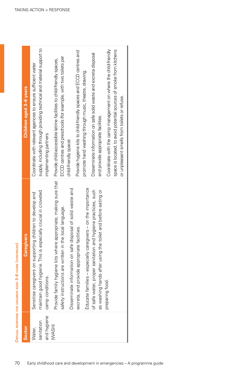| Sector      | regivers<br>යි                                                      | Children aged 3-6 years                                               |
|-------------|---------------------------------------------------------------------|-----------------------------------------------------------------------|
| Water,      | Sensitise caregivers on supporting children to develop and          | Coordinate with relevant agencies to ensure sufficient water          |
| sanitation  | especially crucial in crowded<br>maintain good hygiene. This is     | supply, including through providing technical and material support to |
| and hygiene | camp conditions.                                                    | implementing partners.                                                |
| (WASH)      | ere appropriate, making sure that<br>Provide family hygiene kits wh | Provide child-accessible latrine facilities to child-friendly spaces, |
|             | safety instructions are written in the local language.              | ECCD centres and preschools (for example, with two toilets per        |
|             | Disseminate information on safe disposal of solid waste and         | child-friendly space).                                                |
|             | excreta, and provide appropriate facilities.                        | Provide hygiene kits to child-friendly spaces and ECCD centres and    |
|             | caregivers - on the importance<br>Educate families - especially     | promote hand washing through music, theatre, drawing.                 |
|             | of safe water, proper sanitation and hygiene practices, such        | Disseminate information on safe solid waste and excreta disposal      |
|             | the toilet and before eating or<br>as washing hands after using     | and provide appropriate facilities.                                   |
|             | preparing food.                                                     | Coordinate with the camp management on where the child-friendly       |
|             |                                                                     | space is located, to avoid potential sources of smoke from kitchens   |
|             |                                                                     | or unpleasant smells from toilets or refuse.                          |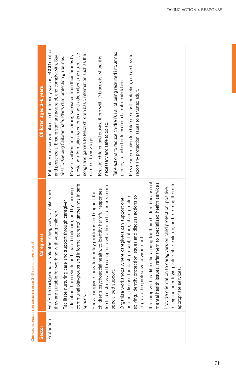| θ      |
|--------|
|        |
| l<br>۰ |
|        |
|        |
| i      |
|        |
|        |
| ţ      |
| I      |
|        |
| Ī<br>í |
| İ<br>Ē |
| ć<br>í |
|        |
| í      |
|        |
|        |
|        |
| d      |
| ä,     |
| i      |
|        |

| <b>Sector</b> | <b>Caregivers</b>                                                                                                                                              | Children aged 3-6 years                                                                                                                |
|---------------|----------------------------------------------------------------------------------------------------------------------------------------------------------------|----------------------------------------------------------------------------------------------------------------------------------------|
| Protection    | Verify the background of volunteer caregivers to make sure<br>they are suitable for working with young children.                                               | Put safety measures in place in child-friendly spaces, ECCD centres<br>and preschools. Ensure staff are aware of, and comply with, Say |
|               | Facilitate nurturing care and support through caregiver                                                                                                        | Yes! To Keeping Children Safe, Plan's child protection guidelines.                                                                     |
|               | education, home visits and shared childcare, and by forming                                                                                                    | Prevent children from becoming separated from their families by                                                                        |
|               | communal playgroups and informal parents' gatherings in safe                                                                                                   | providing information to parents and children about the risks. Use                                                                     |
|               | spaces.                                                                                                                                                        | songs and games to teach children basic information such as the                                                                        |
|               | Show caregivers how to identify problems and support their                                                                                                     | name of their village.                                                                                                                 |
|               | children's psychosocial health, to identify harmful responses                                                                                                  | Register children and provide them with ID bracelets where it is                                                                       |
|               | to child's stress and to recognise whether a child needs more                                                                                                  | necessary and safe to do so.                                                                                                           |
|               | specialised support.                                                                                                                                           | Take actions to reduce children's risk of being recruited into armed                                                                   |
|               | Organise workshops where caregivers can support one                                                                                                            | groups, trafficked or forced into harmful child labour.                                                                                |
|               | another, discuss the past, present, future, share problem<br>solving, identify protection issues and discuss actions to<br>improve the protective environment. | Provide information for children on self-protection, and on how to<br>report any protection issues to a trusted adult.                 |
|               | mental health issues, refer them to specialised health services.<br>If a caregiver has difficulties caring for their children because of                       |                                                                                                                                        |
|               | discipline, identifying vulnerable children, and referring them to<br>Provide orientation to caregivers on child protection, positive<br>appropriate services. |                                                                                                                                        |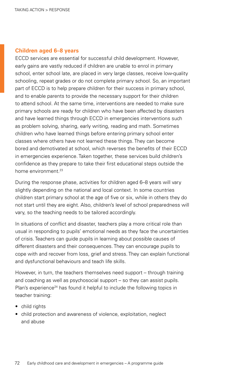#### **Children aged 6–8 years**

ECCD services are essential for successful child development. However, early gains are vastly reduced if children are unable to enrol in primary school, enter school late, are placed in very large classes, receive low-quality schooling, repeat grades or do not complete primary school. So, an important part of ECCD is to help prepare children for their success in primary school, and to enable parents to provide the necessary support for their children to attend school. At the same time, interventions are needed to make sure primary schools are ready for children who have been affected by disasters and have learned things through ECCD in emergencies interventions such as problem solving, sharing, early writing, reading and math. Sometimes children who have learned things before entering primary school enter classes where others have not learned these things. They can become bored and demotivated at school, which reverses the benefits of their ECCD in emergencies experience. Taken together, these services build children's confidence as they prepare to take their first educational steps outside the home environment<sup>23</sup>

During the response phase, activities for children aged 6–8 years will vary slightly depending on the national and local context. In some countries children start primary school at the age of five or six, while in others they do not start until they are eight. Also, children's level of school preparedness will vary, so the teaching needs to be tailored accordingly.

In situations of conflict and disaster, teachers play a more critical role than usual in responding to pupils' emotional needs as they face the uncertainties of crisis. Teachers can guide pupils in learning about possible causes of different disasters and their consequences. They can encourage pupils to cope with and recover from loss, grief and stress. They can explain functional and dysfunctional behaviours and teach life skills.

However, in turn, the teachers themselves need support – through training and coaching as well as psychosocial support – so they can assist pupils. Plan's experience<sup>24</sup> has found it helpful to include the following topics in teacher training:

- child rights
- child protection and awareness of violence, exploitation, neglect and abuse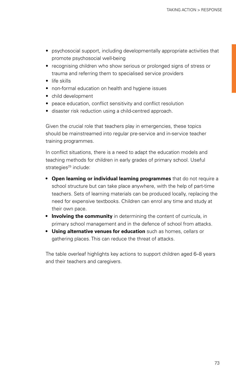- psychosocial support, including developmentally appropriate activities that promote psychosocial well-being
- recognising children who show serious or prolonged signs of stress or trauma and referring them to specialised service providers
- life skills
- non-formal education on health and hygiene issues
- • child development
- peace education, conflict sensitivity and conflict resolution
- disaster risk reduction using a child-centred approach.

Given the crucial role that teachers play in emergencies, these topics should be mainstreamed into regular pre-service and in-service teacher training programmes.

In conflict situations, there is a need to adapt the education models and teaching methods for children in early grades of primary school. Useful strategies<sup>25</sup> include:

- **• Open learning or individual learning programmes** that do not require a school structure but can take place anywhere, with the help of part-time teachers. Sets of learning materials can be produced locally, replacing the need for expensive textbooks. Children can enrol any time and study at their own pace.
- **Involving the community** in determining the content of curricula, in primary school management and in the defence of school from attacks.
- **• Using alternative venues for education** such as homes, cellars or gathering places. This can reduce the threat of attacks.

The table overleaf highlights key actions to support children aged 6–8 years and their teachers and caregivers.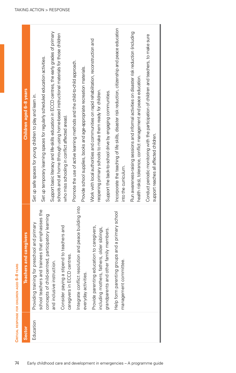| ထ      |
|--------|
|        |
|        |
| ဖ      |
|        |
|        |
| g      |
|        |
|        |
| Z      |
|        |
|        |
|        |
|        |
| Ę<br>í |
|        |
|        |
|        |
| å      |
|        |
|        |
| ı      |
|        |
|        |
|        |
|        |
|        |
|        |
|        |
|        |
|        |
| ā      |
|        |
|        |
|        |
|        |
| I      |
| د<br>í |

| Children aged 6-8 years            |                                                             | Set up temporary learning spaces for regularly scheduled education activities.                        | Support basic literacy and life-skills education in ECCD centres, the early grades of primary | schools and at home (through using home-based instructional materials for those children |                                                                             |                                                                          | Work with local authorities and communities on rapid rehabilitation, reconstruction and        |                                                           | Incorporate the teaching of life skills, disaster risk reduction, citizenship and peace education | Run awareness-raising sessions and informal activities on disaster risk reduction (including | Conduct periodic monitoring with the participation of children and teachers, to make sure |
|------------------------------------|-------------------------------------------------------------|-------------------------------------------------------------------------------------------------------|-----------------------------------------------------------------------------------------------|------------------------------------------------------------------------------------------|-----------------------------------------------------------------------------|--------------------------------------------------------------------------|------------------------------------------------------------------------------------------------|-----------------------------------------------------------|---------------------------------------------------------------------------------------------------|----------------------------------------------------------------------------------------------|-------------------------------------------------------------------------------------------|
|                                    | Set up safe spaces for young children to play and learn in. |                                                                                                       |                                                                                               | who miss schooling in conflict affected areas).                                          | Promote the use of active learning methods and the child-to-child approach. | Provide school supplies, books and age-appropriate recreation materials. | reopening primary schools to make them ready for children.                                     | Support the back-to-school drive by engaging communities. | into the curriculum.                                                                              | health risks), tolerance, conflict management and peace education.                           | support reaches all affected children.                                                    |
| s and caregivers<br><b>Teacher</b> | preschool and primary<br>Providing training for             | school teachers and trainees that emphasises the<br>concepts of child-centred, participatory learning | ior.<br>and inclusive instruct                                                                | Consider paying a stipend to teachers and<br>caregivers in ECCD centres.                 | Integrate conflict resolution and peace building into                       | everyday activities.                                                     | Provide parenting education to caregivers,<br>thers, older siblings,<br>including mothers, far | grandparents and other family members.                    | Help form parenting groups and a primary school<br>ttee.<br>management commit                     |                                                                                              |                                                                                           |
| Sector                             | Education                                                   |                                                                                                       |                                                                                               |                                                                                          |                                                                             |                                                                          |                                                                                                |                                                           |                                                                                                   |                                                                                              |                                                                                           |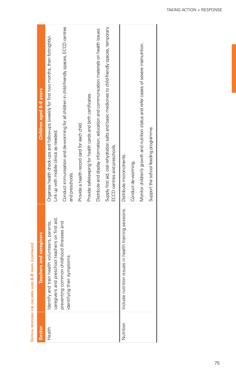|               | <b>THE PRESSURE THE STATE OF STATE OF A STATE OF STATE OF STATE OF STATE OF STATE</b>             |                                                                                                                                     |
|---------------|---------------------------------------------------------------------------------------------------|-------------------------------------------------------------------------------------------------------------------------------------|
| <b>Sector</b> | Teachers and caregivers                                                                           | Children aged 6-8 years                                                                                                             |
| Health        | caregivers and preschool teachers on first aid,<br>Identify and train health volunteers, parents, | Organise health check-ups and follow-ups (weekly for first two months, then fortnightly).<br>Link up with mobile clinics as needed. |
|               | preventing common childhood illnesses and<br>identifying their symptoms.                          | Conduct immunisation and de-worming for all drildren in child-friendly spaces, ECCD centres<br>and preschools.                      |
|               |                                                                                                   | Provide a health record card for each child.                                                                                        |
|               |                                                                                                   | Provide safekeeping for health cards and birth certificates.                                                                        |
|               |                                                                                                   | Distribute and display information, education and communication materials on health issues.                                         |
|               |                                                                                                   | Supply first aid, oral rehydration salts and basic medicines to child-friendly spaces, temporary<br>ECCD centres and preschools.    |
| Nutrition     | Include nutrition issues in health training sessions.                                             | Distribute micronutrients.                                                                                                          |
|               |                                                                                                   | Conduct de-worming.                                                                                                                 |
|               |                                                                                                   | Monitor children's growth and nutrition status and refer cases of severe malnutrition.                                              |
|               |                                                                                                   | Support the school feeding programme.                                                                                               |
|               |                                                                                                   |                                                                                                                                     |

CRITICAL RESPONSE FOR CHILDREN AGED 6-8 YEARS (CONTINUED) **Critical response for children aged 6–8 years (continued)**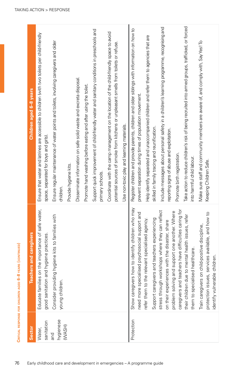| ı              |
|----------------|
|                |
| ı              |
|                |
|                |
| I              |
|                |
|                |
|                |
| í              |
| í              |
|                |
|                |
|                |
|                |
|                |
|                |
|                |
| í              |
|                |
| ׇ֚֬            |
| i              |
|                |
| $\overline{1}$ |
| ï              |
| í              |
|                |
|                |
| í              |
|                |
|                |
| α<br>֠<br>í    |
|                |
|                |
|                |
| í<br>ţ<br>ׇ֚֬֕ |
|                |
|                |
| I              |
|                |
| ı              |
|                |
| ١              |
| ï              |
|                |
|                |
|                |
|                |
|                |
| į              |
|                |
|                |
|                |
|                |
|                |
|                |
|                |
|                |
|                |
| f              |
| ׇ֚֡<br>i       |
|                |
|                |
| í              |
|                |
| l              |
|                |
|                |
|                |
|                |
| ı<br>ı         |
| ١<br>i         |
|                |
| í              |
| ï              |
|                |
| ׇ֚֬            |
|                |
|                |
| I              |
|                |
|                |
|                |
|                |
|                |
|                |
|                |
|                |
|                |
| l              |
|                |
| í              |
|                |
|                |
|                |
|                |
| j              |

| Children aged 6-8 years<br>Teachers and caregivers | Ensure that water and latrines are accessible to children (with two toilets per child-friendly<br>space, separated for boys and girls).<br>Educate families on the importance of safe water, | Ensure regular maintenance of water points and toilets, involving caregivers and older<br>children.<br>Consider providing hygiene kits to families with | Provide hygiene kits. | Disseminate information on safe solid waste and excreta disposal. | Promote hand washing before eating and after using the toilet | Support quick improvement of child-friendly water and sanitary conditions in preschools and<br>primary schools. | Coordinate with the camp management on the location of the child-friendly space to avoid<br>potential sources of smoke from kitchens or unpleasant smells from toilets or refuse. | Use non-toxic play and learning materials. | Register children and provide parents, children and older siblings with information on how to<br>prevent separation during times of population movement.<br>o identify children who may<br>need more specialised psychosocial support and | Help identify separated and unaccompanied children and refer them to agencies that are<br>skilled in family tracing and reunification.<br>Support caregivers and teachers experiencing<br>refer them to the relevant specialised agency. | Include messages about personal safety in a children's learning programme, recognising and<br>reporting signs of abuse and exploitation.<br>stress through workshops where they can reflect<br>problem solving and support one another. Where<br>on their experiences with the disaster, share | Take action to reduce children's risk of being recruited into armed groups, trafficked, or forced<br>Promote birth registration.<br>into harmful child labour.<br>caregivers and teachers have difficulties caring for<br>ental health issues, refer | Make sure staff and community members are aware of, and comply with, SayYes! To<br>Keeping Children Safe.<br>protection issues, services available, and how to<br>Train caregivers on child-positive discipline, |
|----------------------------------------------------|----------------------------------------------------------------------------------------------------------------------------------------------------------------------------------------------|---------------------------------------------------------------------------------------------------------------------------------------------------------|-----------------------|-------------------------------------------------------------------|---------------------------------------------------------------|-----------------------------------------------------------------------------------------------------------------|-----------------------------------------------------------------------------------------------------------------------------------------------------------------------------------|--------------------------------------------|-------------------------------------------------------------------------------------------------------------------------------------------------------------------------------------------------------------------------------------------|------------------------------------------------------------------------------------------------------------------------------------------------------------------------------------------------------------------------------------------|------------------------------------------------------------------------------------------------------------------------------------------------------------------------------------------------------------------------------------------------------------------------------------------------|------------------------------------------------------------------------------------------------------------------------------------------------------------------------------------------------------------------------------------------------------|------------------------------------------------------------------------------------------------------------------------------------------------------------------------------------------------------------------|
|                                                    | good sanitation and hygiene practices.<br>sanitation                                                                                                                                         | young children.<br>hygienese                                                                                                                            | (WASH)                |                                                                   |                                                               |                                                                                                                 |                                                                                                                                                                                   |                                            | Show caregivers how<br>Protection                                                                                                                                                                                                         |                                                                                                                                                                                                                                          |                                                                                                                                                                                                                                                                                                | them to specialised healthcare.<br>their children due to m                                                                                                                                                                                           |                                                                                                                                                                                                                  |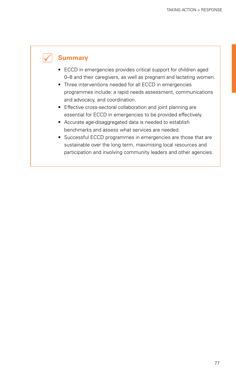# **Summary**

- ECCD in emergencies provides critical support for children aged 0–8 and their caregivers, as well as pregnant and lactating women.
- Three interventions needed for all ECCD in emergencies programmes include: a rapid needs assessment, communications and advocacy, and coordination.
- Effective cross-sectoral collaboration and joint planning are essential for ECCD in emergencies to be provided effectively.
- • Accurate age-disaggregated data is needed to establish benchmarks and assess what services are needed.
- Successful ECCD programmes in emergencies are those that are sustainable over the long term, maximising local resources and participation and involving community leaders and other agencies.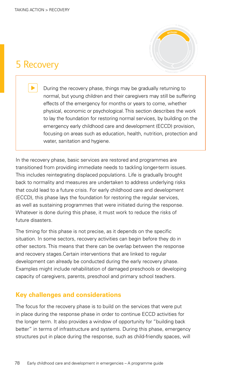# 5 Recovery



During the recovery phase, things may be gradually returning to normal, but young children and their caregivers may still be suffering<br>effects of the emergency for months or years to come, whether effects of the emergency for months or years to come, whether **PREPAREDNES<sup>S</sup>** physical, economic or psychological. This section describes the work<br>to lay the foundation for restoring normal services, by building on the<br>emergency early childhood care and development (ECCD) provision, to lay the foundation for restoring normal services, by building on the **R**emergency early childhood care and development (ECCD) provision, **ESPONSE** Financipality early childribod care and development (ECCD) provision,<br>focusing on areas such as education, health, nutrition, protection and<br>water, sanitation and hygiene. water, sanitation and hygiene.

In the recovery phase, basic services are restored and programmes are transitioned from providing immediate needs to tackling longer-term issues. This includes reintegrating displaced populations. Life is gradually brought back to normality and measures are undertaken to address underlying risks that could lead to a future crisis. For early childhood care and development (ECCD), this phase lays the foundation for restoring the regular services, as well as sustaining programmes that were initiated during the response. Whatever is done during this phase, it must work to reduce the risks of future disasters.

The timing for this phase is not precise, as it depends on the specific situation. In some sectors, recovery activities can begin before they do in other sectors. This means that there can be overlap between the response and recovery stages.Certain interventions that are linked to regular development can already be conducted during the early recovery phase. Examples might include rehabilitation of damaged preschools or developing capacity of caregivers, parents, preschool and primary school teachers.

# **Key challenges and considerations**

The focus for the recovery phase is to build on the services that were put in place during the response phase in order to continue ECCD activities for the longer term. It also provides a window of opportunity for "building back better" in terms of infrastructure and systems. During this phase, emergency structures put in place during the response, such as child-friendly spaces, will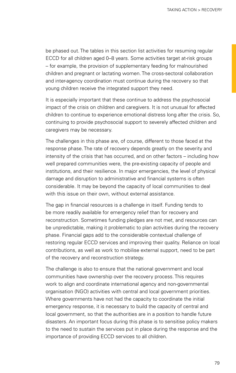be phased out. The tables in this section list activities for resuming regular ECCD for all children aged 0–8 years. Some activities target at-risk groups – for example, the provision of supplementary feeding for malnourished children and pregnant or lactating women. The cross-sectoral collaboration and inter-agency coordination must continue during the recovery so that young children receive the integrated support they need.

It is especially important that these continue to address the psychosocial impact of the crisis on children and caregivers. It is not unusual for affected children to continue to experience emotional distress long after the crisis. So, continuing to provide psychosocial support to severely affected children and caregivers may be necessary.

The challenges in this phase are, of course, different to those faced at the response phase. The rate of recovery depends greatly on the severity and intensity of the crisis that has occurred, and on other factors – including how well prepared communities were, the pre-existing capacity of people and institutions, and their resilience. In major emergencies, the level of physical damage and disruption to administrative and financial systems is often considerable. It may be beyond the capacity of local communities to deal with this issue on their own, without external assistance.

The gap in financial resources is a challenge in itself. Funding tends to be more readily available for emergency relief than for recovery and reconstruction. Sometimes funding pledges are not met, and resources can be unpredictable, making it problematic to plan activities during the recovery phase. Financial gaps add to the considerable contextual challenge of restoring regular ECCD services and improving their quality. Reliance on local contributions, as well as work to mobilise external support, need to be part of the recovery and reconstruction strategy.

The challenge is also to ensure that the national government and local communities have ownership over the recovery process. This requires work to align and coordinate international agency and non-governmental organisation (NGO) activities with central and local government priorities. Where governments have not had the capacity to coordinate the initial emergency response, it is necessary to build the capacity of central and local government, so that the authorities are in a position to handle future disasters. An important focus during this phase is to sensitise policy makers to the need to sustain the services put in place during the response and the importance of providing ECCD services to all children.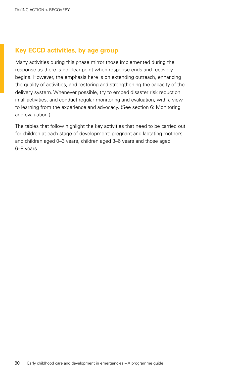# **Key ECCD activities, by age group**

Many activities during this phase mirror those implemented during the response as there is no clear point when response ends and recovery begins. However, the emphasis here is on extending outreach, enhancing the quality of activities, and restoring and strengthening the capacity of the delivery system. Whenever possible, try to embed disaster risk reduction in all activities, and conduct regular monitoring and evaluation, with a view to learning from the experience and advocacy. (See [section 6: Monitoring](#page-91-0)  [and evaluation.](#page-91-0))

The tables that follow highlight the key activities that need to be carried out for children at each stage of development: pregnant and lactating mothers and children aged 0–3 years, children aged 3–6 years and those aged 6–8 years.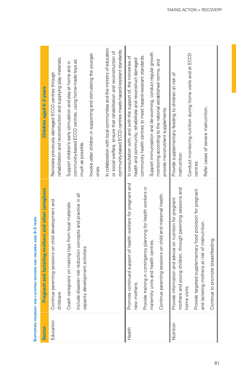| <b>Sector</b> | Pregnant and lactating mothers and other caregivers                                                                                                       | Children aged 0-3 years                                                                                                                                                                                        |
|---------------|-----------------------------------------------------------------------------------------------------------------------------------------------------------|----------------------------------------------------------------------------------------------------------------------------------------------------------------------------------------------------------------|
| Education     | Continue parenting sessions on child development and<br>childcare.                                                                                        | rehabilitation and reconstruction and supplying play materials.<br>Reinstate previously damaged ECCD centres through                                                                                           |
|               | Include disaster risk reduction concepts and practice in all<br>Coach caregivers on making toys from local materials.<br>capacity development activities. | community-based ECCD centres, using home-made toys as<br>Support children's early stimulation and play at home and in<br>much as possible.                                                                     |
|               |                                                                                                                                                           | Involve older children in supporting and stimulating the younger<br>ones.                                                                                                                                      |
|               |                                                                                                                                                           | In collaboration with local communities and the ministry of education<br>community-based ECCD centres meets hazard-resistant standards.<br>or social welfare, ensure that rehabilitation and reconstruction of |
| Health        | Promote continued support of health workers for pregnant and<br>new mothers.                                                                              | In consultation with, and with the support of, the ministries of<br>health and community, rehabilitate and reconstruct damaged                                                                                 |
|               | Provide training in contingency planning for health workers in                                                                                            | community health centres to meet hazard-resistant standards.                                                                                                                                                   |
|               | maternity units and health centres.                                                                                                                       | Support immunisation and de-worming, conduct regular growth                                                                                                                                                    |
|               | Continue parenting sessions on child and maternal health.                                                                                                 | monitoring according to the national established norms, and<br>provide micronutrient supplements.                                                                                                              |
| Nutrition     | Provide information and advice on nutrition for pregnant                                                                                                  | Provide supplementary feeding to children at risk of                                                                                                                                                           |
|               | mothers and young children, through parenting sessions and<br>home visits.                                                                                | Conduct monitoring nutrition during home visits and at ECCD<br>malnutrition.                                                                                                                                   |
|               | Provide targeted supplementary food provision for pregnant                                                                                                | centres.                                                                                                                                                                                                       |
|               | and lactating mothers at risk of malnutrition.                                                                                                            | Refer cases of severe malnutrition.                                                                                                                                                                            |
|               | promote breastfeeding.<br>Continue to                                                                                                                     |                                                                                                                                                                                                                |

# SUPPORTING PREGNANT AND LACTATING MOTHERS AND CHILDREN AGED 0-3 YEARS **Supporting pregnant and lactating mothers and children aged 0–3 years**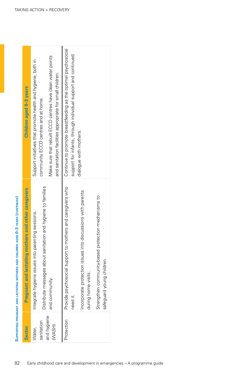| Sector                | mothers and other caregivers<br><b>Pregnant and lactating</b>                                                        | Children aged 0-3 years                                                                                                        |
|-----------------------|----------------------------------------------------------------------------------------------------------------------|--------------------------------------------------------------------------------------------------------------------------------|
| sanitation<br>Water,  | Distribute messages about sanitation and hygiene to families<br>parenting sessions.<br>Integrate hygiene issues into | Support initiatives that promote health and hygiene, both in<br>community ECCD centres and at home.                            |
| and hygiene<br>(WASH) | and community.                                                                                                       | Make sure that rebuilt ECCD centres have clean water points<br>and sanitation facilities appropriate for small children.       |
| Protection            | to mothers and caregivers who<br>Provide psychosocial support<br>need it.                                            | Continue to promote breastfeeding as the optimal psychosocial<br>support for infants, through individual support and continued |
|                       | into discussions with parents<br>Incorporate protection issues<br>during home visits.                                | dialogue with mothers.                                                                                                         |
|                       | protection mechanisms to<br>Strengthen community-based<br>safeguard young children.                                  |                                                                                                                                |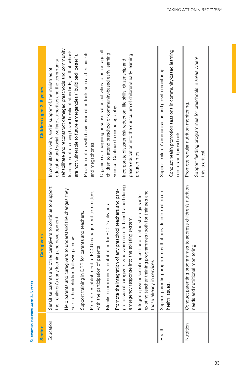SUPPORTING CHILDREN AGED 3-6 YEARS **Supporting children aged 3–6 years**

| <b>Sector</b> | <b>Caregivers</b>                                                                                                                                       | Children aged 3-6 years                                                                                                                                                                    |
|---------------|---------------------------------------------------------------------------------------------------------------------------------------------------------|--------------------------------------------------------------------------------------------------------------------------------------------------------------------------------------------|
| Education     | rents and other caregivers to continue to support<br>i's early learning and development.<br>Sensitise par<br>their childrer                             | rehabilitate and reconstruct damaged preschools and community<br>education and social welfare authorities and the community,<br>In consultation with, and in support of, the ministries of |
|               | and caregivers to understand the changes they<br>see in their children following a crisis.<br>Help parents                                              | learning centres using hazard-resilient standards, so that schools<br>are not vulnerable to future emergencies ("build back better").                                                      |
|               | Promote establishment of ECCD management committees<br>Support training in DRR for parents and teachers.                                                | Provide centres with basic evacuation tools such as first-aid kits<br>and megaphones.                                                                                                      |
|               | with the participation of parents.                                                                                                                      | Organise campaigning or sensitisation activities to encourage all                                                                                                                          |
|               | Mobilise community contribution for ECCD activities.                                                                                                    | children to attend preschool or community-based early learning<br>venues. Continue to encourage play.                                                                                      |
|               | caregivers who were recruited and trained during<br>integration of any preschool teachers and para-<br>Promote the<br>professional                      | Incorporate disaster risk reduction, life skills, citizenship and                                                                                                                          |
|               | emergency response into the existing system.                                                                                                            | peace education into the curriculum of children's early learning                                                                                                                           |
|               | existing teacher training programmes (both for trainees and<br>Integrate psychosocial support and related strategies into<br>those already in service). | programmes.                                                                                                                                                                                |
| Health        | Support parenting programmes that provide information on                                                                                                | Support children's immunisation and growth monitoring.                                                                                                                                     |
|               | health issues                                                                                                                                           | Conduct health promotion sessions in community-based learning<br>centres and preschools.                                                                                                   |
| Nutrition     | Conduct parenting programmes to address children's nutrition                                                                                            | Promote regular nutrition monitoring.                                                                                                                                                      |
|               | needs and nutritional monitoring.                                                                                                                       | Support feeding programmes for preschools in areas where<br>this is critical                                                                                                               |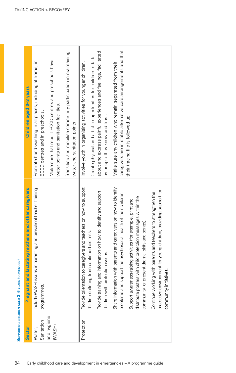| Children aged 0-3 years                                  | Promote hand washing in all places, including at home, in<br>ECCD centres and in preschools. | Make sure that rebuilt ECCD centres and preschools have<br>water points and sanitation facilities. | Sensitise and mobilise community participation in maintaining<br>water and sanitation points. | Involve youth in organising activities for younger children.     | about and express painful experiences and feelings, facilitated<br>Create physical and artistic opportunities for children to talk | by people they know and trust.      | caregivers are in stable alternative care arrangements and that<br>Make sure any children who remain separated from their           | their tracing file is followed up.                                                                                                                                                |                                                                                                                                                            |
|----------------------------------------------------------|----------------------------------------------------------------------------------------------|----------------------------------------------------------------------------------------------------|-----------------------------------------------------------------------------------------------|------------------------------------------------------------------|------------------------------------------------------------------------------------------------------------------------------------|-------------------------------------|-------------------------------------------------------------------------------------------------------------------------------------|-----------------------------------------------------------------------------------------------------------------------------------------------------------------------------------|------------------------------------------------------------------------------------------------------------------------------------------------------------|
| nt and lactating mothers and other caregivers<br>Pregnal | Include WASH issues in parenting and preschool teacher training<br>programmes                |                                                                                                    |                                                                                               | Provide orientation to caregivers and teachers on how to support | Provide training and information on how to identify and support<br>children suffering from continued distress.                     | protection issues.<br>children with | Share information with parents and caregivers on how to identify<br>problems and support the psychosocial health of their children. | distribute posters with child protection messages within the<br>Support awareness-raising activities (for example, print and<br>or present drama, skits and songs).<br>community, | protective environment for young children, providing support for<br>Continue working with parents and teachers to strengthen the<br>community initiatives. |
| <b>Sector</b>                                            | Sanitation<br>Water,                                                                         | and hygiene<br>(WASH)                                                                              |                                                                                               | Protection                                                       |                                                                                                                                    |                                     |                                                                                                                                     |                                                                                                                                                                                   |                                                                                                                                                            |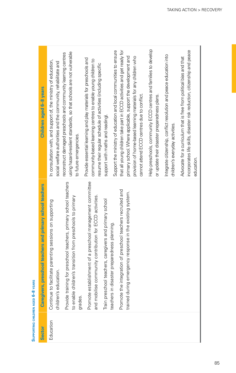| E      |
|--------|
| š      |
|        |
|        |
|        |
|        |
| ¢      |
| ,      |
|        |
|        |
| ဖ      |
|        |
|        |
|        |
|        |
|        |
| į      |
|        |
|        |
|        |
|        |
|        |
| õ      |
|        |
| Ē      |
|        |
|        |
| ر<br>پ |
|        |
|        |
|        |
|        |
|        |
|        |
|        |
|        |
|        |
|        |
|        |
|        |
|        |
|        |
|        |
|        |
|        |
|        |
|        |
|        |
|        |
|        |
|        |

| <b>Sector</b> | Caregivers, preschool teachers and primary school teachers                                                                                | Children aged 6-8 years                                                                                                                                                                                                                                   |
|---------------|-------------------------------------------------------------------------------------------------------------------------------------------|-----------------------------------------------------------------------------------------------------------------------------------------------------------------------------------------------------------------------------------------------------------|
| Education     | facilitate parenting sessions on supporting<br>children's education.<br>Continue to                                                       | In consultation with, and support of, the ministry of education,<br>social welfare authorities and the community, rehabilitate and                                                                                                                        |
|               | Provide training for preschool teachers, primary school teachers<br>to enable children's transition from preschools to primary<br>grades. | using hazard-resilient standards, so that schools are not vulnerable<br>reconstruct damaged preschools and community learning centres<br>to future emergencies.                                                                                           |
|               | Promote establishment of a preschool management committee<br>and mobilise community contribution for ECCD activities.                     | Provide essential learning and play materials for preschools and<br>community-based learning centres to enable young children to<br>resume their regular schedule of activities (including specific                                                       |
|               | Train preschool teachers, caregivers and primary school<br>teachers in disaster preparedness planning.                                    | Support the ministry of education and local communities to ensure<br>support with maths and reading).                                                                                                                                                     |
|               | Promote the integration of preschool teachers recruited and<br>ig emergency response in the existing system.<br>trained durir             | that all young children take part in ECCD activities and get ready for<br>primary school. Where applicable, support the development and<br>provision of home-based learning materials for any children who<br>cannot attend ECCD centres due to conflict. |
|               |                                                                                                                                           | Help preschools, community ECCD centres and families to develop<br>or update their disaster preparedness plans.                                                                                                                                           |
|               |                                                                                                                                           | Integrate citizenship, conflict resolution and peace education into<br>children's everyday activities.                                                                                                                                                    |
|               |                                                                                                                                           | incorporates life skills, disaster risk reduction, citizenship and peace<br>Advocate for a curriculum that is free from political bias and that<br>education.                                                                                             |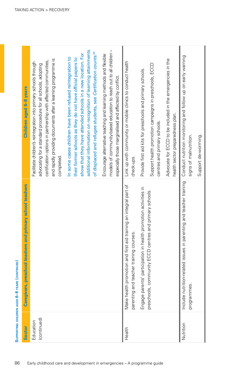| <b>Sector</b> | <b>Caregivers, preschool teachers and primary school teachers</b>                                                  | Children aged 6-8 years                                                                                                                                                                                                                                                                                                                |
|---------------|--------------------------------------------------------------------------------------------------------------------|----------------------------------------------------------------------------------------------------------------------------------------------------------------------------------------------------------------------------------------------------------------------------------------------------------------------------------------|
| Education     |                                                                                                                    | Facilitate children's reintegration into primary schools through                                                                                                                                                                                                                                                                       |
| (continued)   |                                                                                                                    | and rapidly providing documents after a learning programme is<br>certification options in partnership with affected communities,<br>advocating for a standard procedure for all schools, adopting<br>completed.                                                                                                                        |
|               |                                                                                                                    | additional information on recognition of learning attainments<br>of displaced and refugee students, see Certification counts. <sup>26</sup><br>show that they have attended schools in a new location. For<br>In some cases children have been refused reintegration to<br>their former schools as they do not have official papers to |
|               |                                                                                                                    | models of community-based education to reach out to all children -<br>Encourage alternative teaching and learning methods and flexible<br>especially those marginalised and affected by conflict                                                                                                                                       |
| Health        | st aid training an integral part of<br>courses.<br>Make health promotion and fir<br>parenting and teacher training | Link up with community or mobile clinics to conduct health<br>check-ups.                                                                                                                                                                                                                                                               |
|               | in health promotion activities in<br>Engage parents' participation                                                 | Provide first aid kits for preschools and primary schools.                                                                                                                                                                                                                                                                             |
|               | centres and primary schools.<br>preschools, community ECCD                                                         | Support health promotion campaigns in preschools, ECCD<br>centres and primary schools.                                                                                                                                                                                                                                                 |
|               |                                                                                                                    | Advocate for ECCD to be included in the emergencies in the<br>health sector preparedness plan.                                                                                                                                                                                                                                         |
| Nutrition     | Include nutrition-related issues in parenting and teacher training<br>programmes.                                  | Conduct nutrition monitoring and follow up on early warning<br>signs of malnutrition.                                                                                                                                                                                                                                                  |
|               |                                                                                                                    | Support de-worming.                                                                                                                                                                                                                                                                                                                    |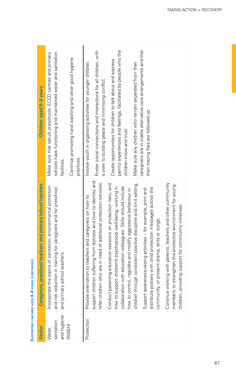| and hygiene<br>sanitation<br>(WASH)<br>Water,<br>Sector | Caregivers, preschool teachers and primary school teachers<br>Incorporate the topics of sanitation, environmental protection<br>and risk reduction in training for caregivers and for preschool<br>y school teachers.<br>and primar                                                                                                                                                                                                                                                                                                                                                                                                                                                                                                                                                                                                                                                                                     | schools have functioning and maintained water and sanitation<br>Make sure that rebuilt preschools, ECCD centres and primary<br>Continue promoting hand washing and other good hygiene<br>Children aged 6-8 years<br>practices.<br>facilities.                                                                                                                                                                                                                                                                             |
|---------------------------------------------------------|-------------------------------------------------------------------------------------------------------------------------------------------------------------------------------------------------------------------------------------------------------------------------------------------------------------------------------------------------------------------------------------------------------------------------------------------------------------------------------------------------------------------------------------------------------------------------------------------------------------------------------------------------------------------------------------------------------------------------------------------------------------------------------------------------------------------------------------------------------------------------------------------------------------------------|---------------------------------------------------------------------------------------------------------------------------------------------------------------------------------------------------------------------------------------------------------------------------------------------------------------------------------------------------------------------------------------------------------------------------------------------------------------------------------------------------------------------------|
| Protection                                              | support children suffering from distress and how to identity and<br>children through consistent positive discipline and limit setting.<br>refer children who are in need of additional protection services.<br>Continue working with parents, teachers and other community<br>Conduct parenting education sessions on protection risks, and<br>to strengthen the protective environment for young<br>how to support children's psychosocial well-being, working in<br>collaboration with education colleagues. Skills should include<br>distribute posters with child protection messages across the<br>Support awareness-raising activities - for example, print and<br>how to control, regulate and modify aggressive behaviour in<br>Provide orientation to teachers and caregivers on how to<br>children, providing support for community initiatives.<br>community, or present drama, skits or songs.<br>members t | painful experiences and feelings, facilitated by people who the<br>caregivers are in stable alternative care arrangements and that<br>Foster social connections and interactions for all children, with<br>Create opportunities for children to talk about and express<br>Make sure any children who remain separated from their<br>Involve youth in organising activities for younger children.<br>a view to building peace and minimising conflict.<br>their tracing files are followed up.<br>children know and trust. |

# SUPPORTING CHILDREN AGED 6-8 YEARS (CONTINUED) **Supporting children aged 6–8 years (continued)**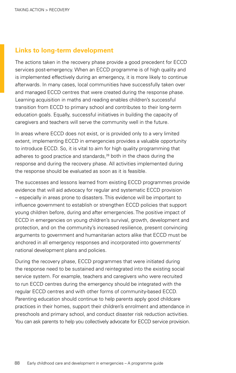# **Links to long-term development**

The actions taken in the recovery phase provide a good precedent for ECCD services post-emergency. When an ECCD programme is of high quality and is implemented effectively during an emergency, it is more likely to continue afterwards. In many cases, local communities have successfully taken over and managed ECCD centres that were created during the response phase. Learning acquisition in maths and reading enables children's successful transition from ECCD to primary school and contributes to their long-term education goals. Equally, successful initiatives in building the capacity of caregivers and teachers will serve the community well in the future.

In areas where ECCD does not exist, or is provided only to a very limited extent, implementing ECCD in emergencies provides a valuable opportunity to introduce ECCD. So, it is vital to aim for high quality programming that adheres to good practice and standards,<sup>28</sup> both in the chaos during the response and during the recovery phase. All activities implemented during the response should be evaluated as soon as it is feasible.

The successes and lessons learned from existing ECCD programmes provide evidence that will aid advocacy for regular and systematic ECCD provision – especially in areas prone to disasters. This evidence will be important to influence government to establish or strengthen ECCD policies that support young children before, during and after emergencies. The positive impact of ECCD in emergencies on young children's survival, growth, development and protection, and on the community's increased resilience, present convincing arguments to government and humanitarian actors alike that ECCD must be anchored in all emergency responses and incorporated into governments' national development plans and policies.

During the recovery phase, ECCD programmes that were initiated during the response need to be sustained and reintegrated into the existing social service system. For example, teachers and caregivers who were recruited to run ECCD centres during the emergency should be integrated with the regular ECCD centres and with other forms of community-based ECCD. Parenting education should continue to help parents apply good childcare practices in their homes, support their children's enrolment and attendance in preschools and primary school, and conduct disaster risk reduction activities. You can ask parents to help you collectively advocate for ECCD service provision.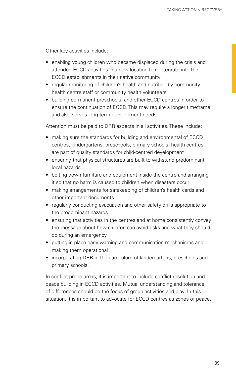Other key activities include:

- enabling young children who became displaced during the crisis and attended ECCD activities in a new location to reintegrate into the ECCD establishments in their native community
- regular monitoring of children's health and nutrition by community health centre staff or community health volunteers
- building permanent preschools, and other ECCD centres in order to ensure the continuation of ECCD. This may require a longer timeframe and also serves long-term development needs.

Attention must be paid to DRR aspects in all activities. These include:

- making sure the standards for building and environmental of ECCD centres, kindergartens, preschools, primary schools, health centres are part of quality standards for child-centred development
- ensuring that physical structures are built to withstand predominant local hazards
- bolting down furniture and equipment inside the centre and arranging it so that no harm is caused to children when disasters occur
- making arrangements for safekeeping of children's health cards and other important documents
- regularly conducting evacuation and other safety drills appropriate to the predominant hazards
- ensuring that activities in the centres and at home consistently convey the message about how children can avoid risks and what they should do during an emergency
- putting in place early warning and communication mechanisms and making them operational
- incorporating DRR in the curriculum of kindergartens, preschools and primary schools.

In conflict-prone areas, it is important to include conflict resolution and peace building in ECCD activities. Mutual understanding and tolerance of differences should be the focus of group activities and play. In this situation, it is important to advocate for ECCD centres as zones of peace.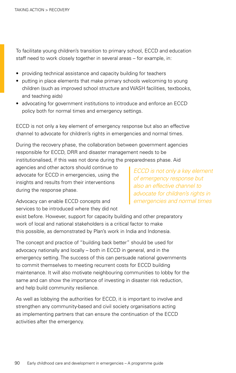To facilitate young children's transition to primary school, ECCD and education staff need to work closely together in several areas – for example, in:

- providing technical assistance and capacity building for teachers
- putting in place elements that make primary schools welcoming to young children (such as improved school structure and WASH facilities, textbooks, and teaching aids)
- advocating for government institutions to introduce and enforce an ECCD policy both for normal times and emergency settings.

ECCD is not only a key element of emergency response but also an effective channel to advocate for children's rights in emergencies and normal times.

During the recovery phase, the collaboration between government agencies responsible for ECCD, DRR and disaster management needs to be institutionalised, if this was not done during the preparedness phase. Aid

agencies and other actors should continue to advocate for ECCD in emergencies, using the insights and results from their interventions during the response phase.

*ECCD is not only a key element of emergency response but also an effective channel to advocate for children's rights in emergencies and normal times*

Advocacy can enable ECCD concepts and services to be introduced where they did not

exist before. However, support for capacity building and other preparatory work of local and national stakeholders is a critical factor to make this possible, as demonstrated by Plan's work in India and Indonesia.

The concept and practice of "building back better" should be used for advocacy nationally and locally – both in ECCD in general, and in the emergency setting. The success of this can persuade national governments to commit themselves to meeting recurrent costs for ECCD building maintenance. It will also motivate neighbouring communities to lobby for the same and can show the importance of investing in disaster risk reduction, and help build community resilience.

As well as lobbying the authorities for ECCD, it is important to involve and strengthen any community-based and civil society organisations acting as implementing partners that can ensure the continuation of the ECCD activities after the emergency.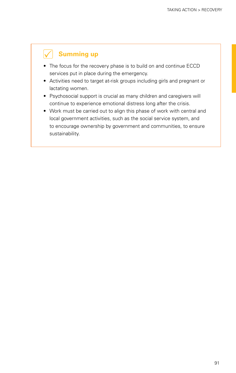# **Summing up**

- The focus for the recovery phase is to build on and continue ECCD services put in place during the emergency.
- Activities need to target at-risk groups including girls and pregnant or lactating women.
- Psychosocial support is crucial as many children and caregivers will continue to experience emotional distress long after the crisis.
- Work must be carried out to align this phase of work with central and local government activities, such as the social service system, and to encourage ownership by government and communities, to ensure sustainability.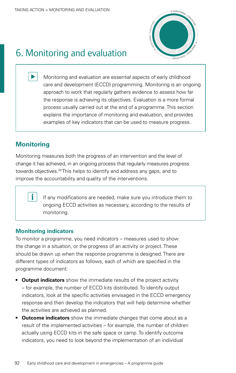

# <span id="page-91-0"></span>6. Monitoring and evaluation

Monitoring and evaluation are essential aspects of early childhood care and development (ECCD) programming. Monitoring is an ongoing approach to work that regularly gathers evidence to assess how far the response is achieving its objectives. Evaluation is a more formal process usually carried out at the end of a programme. This section explains the importance of monitoring and evaluation, and provides examples of key indicators that can be used to measure progress.

# **Monitoring**

Monitoring measures both the progress of an intervention and the level of change it has achieved, in an ongoing process that regularly measures progress towards objectives.<sup>29</sup> This helps to identify and address any gaps, and to improve the accountability and quality of the interventions.

> If any modifications are needed, make sure you introduce them to ongoing ECCD activities as necessary, according to the results of monitoring.

# **Monitoring indicators**

To monitor a programme, you need indicators – measures used to show the change in a situation, or the progress of an activity or project. These should be drawn up when the response programme is designed. There are different types of indicators as follows, each of which are specified in the programme document:

- **Output indicators** show the immediate results of the project activity – for example, the number of ECCD kits distributed. To identify output indicators, look at the specific activities envisaged in the ECCD emergency response and then develop the indicators that will help determine whether the activities are achieved as planned.
- **Outcome indicators** show the immediate changes that come about as a result of the implemented activities – for example, the number of children actually using ECCD kits in the safe space or camp. To identify outcome indicators, you need to look beyond the implementation of an individual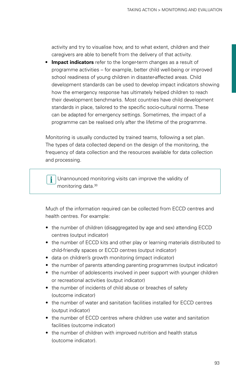activity and try to visualise how, and to what extent, children and their caregivers are able to benefit from the delivery of that activity.

**• Impact indicators** refer to the longer-term changes as a result of programme activities – for example, better child well-being or improved school readiness of young children in disaster-affected areas. Child development standards can be used to develop impact indicators showing how the emergency response has ultimately helped children to reach their development benchmarks. Most countries have child development standards in place, tailored to the specific socio-cultural norms. These can be adapted for emergency settings. Sometimes, the impact of a programme can be realised only after the lifetime of the programme.

Monitoring is usually conducted by trained teams, following a set plan. The types of data collected depend on the design of the monitoring, the frequency of data collection and the resources available for data collection and processing.

 Unannounced monitoring visits can improve the validity of monitoring data[.30](#page-100-4)

Much of the information required can be collected from ECCD centres and health centres. For example:

- the number of children (disaggregated by age and sex) attending ECCD centres (output indicator)
- the number of ECCD kits and other play or learning materials distributed to child-friendly spaces or ECCD centres (output indicator)
- data on children's growth monitoring (impact indicator)
- the number of parents attending parenting programmes (output indicator)
- the number of adolescents involved in peer support with younger children or recreational activities (output indicator)
- the number of incidents of child abuse or breaches of safety (outcome indicator)
- the number of water and sanitation facilities installed for ECCD centres (output indicator)
- the number of ECCD centres where children use water and sanitation facilities (outcome indicator)
- the number of children with improved nutrition and health status (outcome indicator).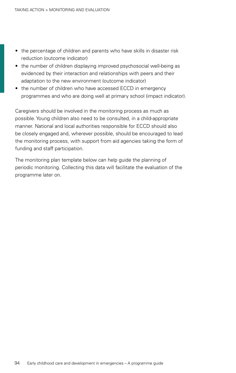- the percentage of children and parents who have skills in disaster risk reduction (outcome indicator)
- the number of children displaying improved psychosocial well-being as evidenced by their interaction and relationships with peers and their adaptation to the new environment (outcome indicator)
- the number of children who have accessed ECCD in emergency programmes and who are doing well at primary school (impact indicator).

Caregivers should be involved in the monitoring process as much as possible. Young children also need to be consulted, in a child-appropriate manner. National and local authorities responsible for ECCD should also be closely engaged and, wherever possible, should be encouraged to lead the monitoring process, with support from aid agencies taking the form of funding and staff participation.

The monitoring plan template below can help guide the planning of periodic monitoring. Collecting this data will facilitate the evaluation of the programme later on.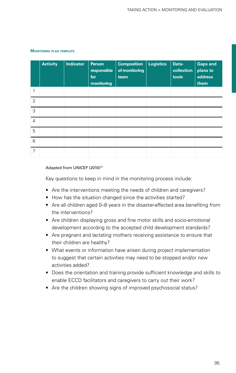|                | <b>Activity</b> | <b>Indicator</b> | <b>Person</b><br>responsible<br>for<br>monitoring | <b>Composition</b><br>of monitoring<br>team | <b>Logistics</b> | Data-<br>collection  <br>tools | <b>Gaps and</b><br>plans to<br>address<br>them |
|----------------|-----------------|------------------|---------------------------------------------------|---------------------------------------------|------------------|--------------------------------|------------------------------------------------|
|                |                 |                  |                                                   |                                             |                  |                                |                                                |
| 2              |                 |                  |                                                   |                                             |                  |                                |                                                |
| 3              |                 |                  |                                                   |                                             |                  |                                |                                                |
| $\overline{4}$ |                 |                  |                                                   |                                             |                  |                                |                                                |
| 5              |                 |                  |                                                   |                                             |                  |                                |                                                |
| 6              |                 |                  |                                                   |                                             |                  |                                |                                                |
| 7              |                 |                  |                                                   |                                             |                  |                                |                                                |

### **Monitoring plan template**

### Adapted from UNICEF (2010)<sup>[31](#page-100-5)</sup>

Key questions to keep in mind in the monitoring process include:

- Are the interventions meeting the needs of children and caregivers?
- How has the situation changed since the activities started?
- Are all children aged 0–8 years in the disaster-affected area benefiting from the interventions?
- Are children displaying gross and fine motor skills and socio-emotional development according to the accepted child development standards?
- Are pregnant and lactating mothers receiving assistance to ensure that their children are healthy?
- What events or information have arisen during project implementation to suggest that certain activities may need to be stopped and/or new activities added?
- Does the orientation and training provide sufficient knowledge and skills to enable ECCD facilitators and caregivers to carry out their work?
- Are the children showing signs of improved psychosocial status?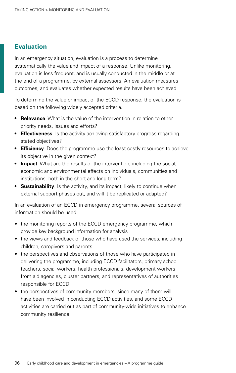# **Evaluation**

In an emergency situation, evaluation is a process to determine systematically the value and impact of a response. Unlike monitoring, evaluation is less frequent, and is usually conducted in the middle or at the end of a programme, by external assessors. An evaluation measures outcomes, and evaluates whether expected results have been achieved.

To determine the value or impact of the ECCD response, the evaluation is based on the following widely accepted criteria.

- **Relevance**. What is the value of the intervention in relation to other priority needs, issues and efforts?
- **Effectiveness**. Is the activity achieving satisfactory progress regarding stated objectives?
- **Efficiency**. Does the programme use the least costly resources to achieve its objective in the given context?
- **Impact**. What are the results of the intervention, including the social, economic and environmental effects on individuals, communities and institutions, both in the short and long term?
- **Sustainability**. Is the activity, and its impact, likely to continue when external support phases out, and will it be replicated or adapted?

In an evaluation of an ECCD in emergency programme, several sources of information should be used:

- the monitoring reports of the ECCD emergency programme, which provide key background information for analysis
- the views and feedback of those who have used the services, including children, caregivers and parents
- the perspectives and observations of those who have participated in delivering the programme, including ECCD facilitators, primary school teachers, social workers, health professionals, development workers from aid agencies, cluster partners, and representatives of authorities responsible for ECCD
- the perspectives of community members, since many of them will have been involved in conducting ECCD activities, and some ECCD activities are carried out as part of community-wide initiatives to enhance community resilience.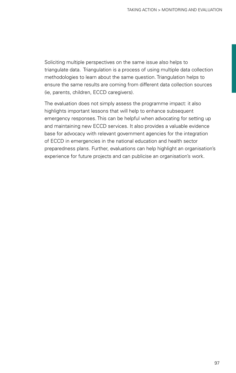Soliciting multiple perspectives on the same issue also helps to triangulate data. Triangulation is a process of using multiple data collection methodologies to learn about the same question. Triangulation helps to ensure the same results are coming from different data collection sources (ie, parents, children, ECCD caregivers).

The evaluation does not simply assess the programme impact: it also highlights important lessons that will help to enhance subsequent emergency responses. This can be helpful when advocating for setting up and maintaining new ECCD services. It also provides a valuable evidence base for advocacy with relevant government agencies for the integration of ECCD in emergencies in the national education and health sector preparedness plans. Further, evaluations can help highlight an organisation's experience for future projects and can publicise an organisation's work.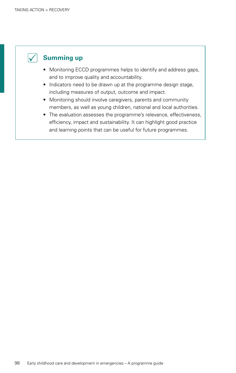

# **Summing up**

- Monitoring ECCD programmes helps to identify and address gaps, and to improve quality and accountability.
- Indicators need to be drawn up at the programme design stage, including measures of output, outcome and impact.
- Monitoring should involve caregivers, parents and community members, as well as young children, national and local authorities.
- The evaluation assesses the programme's relevance, effectiveness, efficiency, impact and sustainability. It can highlight good practice and learning points that can be useful for future programmes.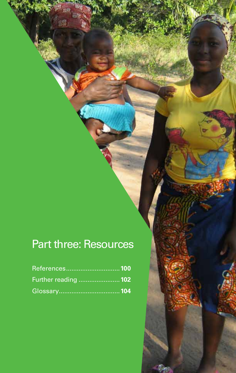# Part three: Resources

| References100        |  |
|----------------------|--|
| Further reading  102 |  |
|                      |  |

99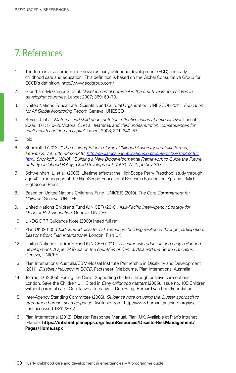# 7. References

- 1. The term is also sometimes known as early childhood development (ECD) and early childhood care and education. This definition is based on the Global Consultative Group for ECCD's definition[. http://www.ecdgroup.com/]( http://www.ecdgroup.com/)
- 2. Grantham-McGregor S. et al. *Developmental potential in the first 5 years for children in developing countries*. Lancet 2007; 369: 60–70.
- 3. United Nations Educational, Scientific and Cultural Organization (UNESCO) (2011). *Education for All Global Monitoring Report*. Geneva, UNESCO
- 4. Bryce, J. et al. *Maternal and child under-nutrition: effective action at national level*. Lancet 2008: 371: 510–26 Victora, C. et al. *Maternal and child under-nutrition: consequences for adult health and human capital*. Lancet 2008; 371: 340–57
- 5. Ibid.
- 6. Shonkoff J (2012). "*The Lifelong Effects of Early Chilhood Adversity and Toxic Stress", Pediatrics, Vol. 129, e232-e246, [http://pediatrics.aapublications.org/content/129/1/e232.full.](http://pediatrics.aapublications.org/content/129/1/e232.full.html) [html](http://pediatrics.aapublications.org/content/129/1/e232.full.html). Shonkoff J (2010), "Building a New Biodevelopmental Framework to Guide the Future of Early Childhood Policy", Child Development, Vol.81, N. 1, pp.357-367.*
- 7. Schweinhart, L. et al. (2005). Lifetime effects: the HighScope Perry Preschool study through age 40 – monograph of the HighScope Educational Research Foundation. Ypsilanti, Mich. HighScope Press.
- 8. Based on United Nations Children's Fund (UNICEF) (2010). *The Core Commitment for Children*. Geneva, UNICEF
- 9. United Nations Children's Fund (UNICEF) (2010). *Asia-Pacific Inter-Agency Strategy for Disaster Risk Reduction*. Geneva, UNICEF
- 10. UNDG DRR Guidance Note (2009) [need full ref]
- 11. Plan UK (2010). *Child-centred disaster risk reduction: building resilience through participation. Lessons from Plan International*. London, Plan UK
- 12. United Nations Children's Fund (UNICEF) (2010). *Disaster risk reduction and early childhood development. A special focus on the countries of Central Asia and the South Caucasus*. Geneva, UNICEF
- 13. Plan International Australia/CBM-Nossal Institute Partnership in Disability and Development (2011). *Disability inclusion in ECCD.* Factsheet. Melbourne, Plan International Australia
- 14. Tolfree, D. (2005). Facing the Crisis: Supporting children through positive care options. London, Save the Children UK. Cited in *Early childhood matters* (2005). Issue no. 105:Children without parental care: Qualitative alternatives. Den Haag, Bernard van Leer Foundation
- 15. Inter-Agency Standing Committee (2006). *Guidance note on using the Cluster approach to strengthen humanitarian response.* Available from: [http://www.humanitarianinfo.org/iasc.](http://www.humanitarianinfo.org/iasc) Last accessed 13/12/2012
- 16. Plan International (2012). Disaster Response Manual. Plan, UK. Available at Plan's intranet (Planet): **[https://intranet.planapps.org/TeamResources/DisasterRiskManagement/](https://intranet.planapps.org/TeamResources/DisasterRiskManagement/Pages/Home.aspx) [Pages/Home.aspx](https://intranet.planapps.org/TeamResources/DisasterRiskManagement/Pages/Home.aspx)**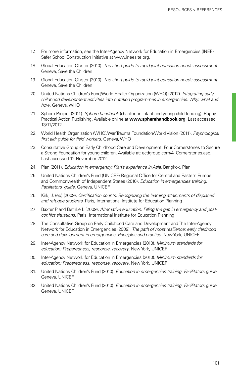- 17. For more information, see the Inter-Agency Network for Education in Emergencies (INEE) Safer School Construction Initiative at <www.ineesite.org>.
- 18. Global Education Cluster (2010). *The short guide to rapid joint education needs assessment*. Geneva, Save the Children
- 19. Global Education Cluster (2010). *The short guide to rapid joint education needs assessment*. Geneva, Save the Children
- 20. United Nations Children's Fund/World Health Organization (WHO) (2012). *Integrating early childhood development activities into nutrition programmes in emergencies. Why, what and how*. Geneva, WHO
- 21. Sphere Project (2011). *Sphere handbook* (chapter on infant and young child feeding). Rugby, Practical Action Publishing. Available online at **[www.spherehandbook.org](http://www.spherehandbook.org)**. Last accessed 13/11/2012.
- 22. World Health Organization (WHO)/War Trauma Foundation/World Vision (2011). *Psychological first aid: guide for field workers.* Geneva, WHO
- 23. Consultative Group on Early Childhood Care and Development. Four Cornerstones to Secure a Strong Foundation for young children. Available at: [ecdgroup.com/4\\_Cornerstones.asp](http://ecdgroup.com/4_Cornerstones.asp). Last accessed 12 November 2012.
- 24. Plan (2011). *Education in emergency: Plan's experience in Asia*. Bangkok, Plan
- <span id="page-100-0"></span>25. United Nations Children's Fund (UNICEF) Regional Office for Central and Eastern Europe and Commonwealth of Independent States (2010). *Education in emergencies training. Facilitators' guide*. Geneva, UNICEF
- <span id="page-100-1"></span>26. Kirk, J. (ed) (2009). *Certification counts: Recognizing the learning attainments of displaced and refugee students*. Paris, International Institute for Education Planning
- 27. Baxter P and Bethke L (2009). *Alternative education: Filling the gap in emergency and postconflict situations.* Paris, International Institute for Education Planning
- <span id="page-100-2"></span>28. The Consultative Group on Early Childhood Care and Development and The Inter-Agency Network for Education in Emergencies (2009). *The path of most resilience: early childhood care and development in emergencies. Principles and practice*. New York, UNICEF
- <span id="page-100-3"></span>29. Inter-Agency Network for Education in Emergencies (2010). *Minimum standards for education: Preparedness, response, recovery*. New York, UNICEF
- <span id="page-100-4"></span>30. Inter-Agency Network for Education in Emergencies (2010). *Minimum standards for education: Preparedness, response, recovery*. New York, UNICEF
- <span id="page-100-5"></span>31. United Nations Children's Fund (2010). *Education in emergencies training. Facilitators guide*. Geneva, UNICEF
- 32. United Nations Children's Fund (2010). *Education in emergencies training. Facilitators guide*. Geneva, UNICEF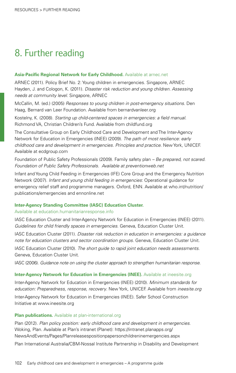# 8. Further reading

### **Asia-Pacific Regional Network for Early Childhood.** Available at arnec.net

ARNEC (2011). Policy Brief No. 2: Young children in emergencies. Singapore, ARNEC Hayden, J. and Cologon, K. (2011). *Disaster risk reduction and young children. Assessing needs at community level*. Singapore, ARNEC

McCallin, M. (ed.) (2005) *Responses to young children in post-emergency situations*. Den Haag, Bernard van Leer Foundation. Available from bernardvanleer.org

Kostelny, K. (2008). *Starting up child-centered spaces in emergencies: a field manual*. Richmond VA, Christian Children's Fund. Available from childfund.org

The Consultative Group on Early Childhood Care and Development and The Inter-Agency Network for Education in Emergencies (INEE) (2009). *The path of most resilience: early childhood care and development in emergencies. Principles and practice*. New York, UNICEF. Available at ecdgroup.com

Foundation of Public Safety Professionals (2009). Family safety plan *– Be prepared, not scared. Foundation of Public Safety Professionals. Available at preventionweb.net*

Infant and Young Child Feeding in Emergencies (IFE) Core Group and the Emergency Nutrition Network (2007). *Infant and young child feeding in emergencies*: Operational guidance for emergency relief staff and programme managers. Oxford, ENN. Available at who.int/nutrition/ publications/emergencies and ennonline.net

## **Inter-Agency Standing Committee (IASC) Education Cluster.**

### Available at [education.humanitarianresponse.info](http://education.humanitarianresponse.info)

IASC Education Cluster and Inter-Agency Network for Education in Emergencies (INEE) (2011). *Guidelines for child friendly spaces in emergencies*. Geneva, Education Cluster Unit.

IASC Education Cluster (2011). *Disaster risk reduction in education in emergencies: a guidance note for education clusters and sector coordination groups.* Geneva, Education Cluster Unit. IASC Education Cluster (2010). *The short guide to rapid joint education needs assessments*. Geneva, Education Cluster Unit.

IASC (2006). *Guidance note on using the cluster approach to strengthen humanitarian response.* 

## **Inter-Agency Network for Education in Emergencies (INEE).** Available at [ineesite.org](http://www.ineesite.org)

Inter-Agency Network for Education in Emergencies (INEE) (2010). *Minimum standards for education: Preparedness, response, recovery*. New York, UNICEF. Available from *ineesite.org* Inter-Agency Network for Education in Emergencies (INEE). Safer School Construction Initiative at www.ineesite.org

## **Plan publications.** Available at [plan-international.org](http://www.plan-international.org)

Plan (2012). *Plan policy position: early childhood care and development in emergencies*. Woking, Plan. Available at Plan's intranet (Planet): [https://intranet.planapps.org/](https://intranet.planapps.org/NewsAndEvents/Pages/Planreleasespositionpapersonchildreninemergencies.aspx) [NewsAndEvents/Pages/Planreleasespositionpapersonchildreninemergencies.aspx](https://intranet.planapps.org/NewsAndEvents/Pages/Planreleasespositionpapersonchildreninemergencies.aspx) Plan International Australia/CBM-Nossal Institute Partnership in Disability and Development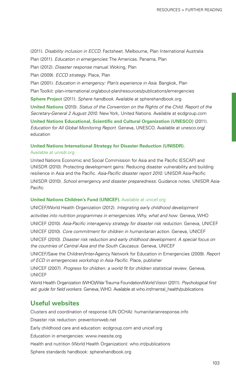(2011). *Disability inclusion in ECCD.* Factsheet. Melbourne, Plan International Australia Plan (2011). *Education in emergencies*: The Americas. Panama, Plan Plan (2012). *Disaster response manual*. Woking, Plan Plan (2009). *ECCD strategy*. Place, Plan Plan (2001). *Education in emergency: Plan's experience in Asia*. Bangkok, Plan Plan Toolkit: [plan-international.org/about-plan/resources/publications/emergencies](http://plan-international.org/about-plan/resources/publications/emergencies) **Sphere Project** (2011). *Sphere handbook*. Available at spherehandbook.org **United Nations** (2010). *Status of the Convention on the Rights of the Child. Report of the Secretary-General 2 August 2010*. New York, United Nations. Available at ecdgroup.com **United Nations Educational, Scientific and Cultural Organization (UNESCO)** (2011). *Education for All Global Monitoring Report*. Geneva, UNESCO. Available at unesco.org/ education

# **United Nations International Strategy for Disaster Reduction (UNISDR).**

### Available at unisdr.org

United Nations Economic and Social Commission for Asia and the Pacific (ESCAP) and UNISDR (2010). Protecting development gains: Reducing disaster vulnerability and building resilience in Asia and the Pacific. *Asia-Pacific disaster report 2010*. UNISDR Asia-Pacific UNISDR (2010). *School emergency and disaster preparedness*: Guidance notes. UNISDR Asia-Pacific

## **United Nations Children's Fund (UNICEF).** Available at unicef.org

UNICEF/World Health Organization (2012). *Integrating early childhood development activities into nutrition programmes in emergencies. Why, what and how*. Geneva, WHO UNICEF (2010). *Asia-Pacific inter-agency strategy for disaster risk reduction*. Geneva, UNICEF UNICEF (2010). *Core commitment for children in humanitarian action*. Geneva, UNICEF UNICEF (2010). *Disaster risk reduction and early childhood development. A special focus on the countries of Central Asia and the South Caucasus*. Geneva, UNICEF

UNICEF/Save the Children/Inter-Agency Network for Education in Emergencies (2009). *Report of ECD in emergencies workshop in Asia Pacific*. Place, publisher

UNICEF (2007). *Progress for children: a world fit for children statistical review*. Geneva, UNICEF

World Health Organization (WHO)/War Trauma Foundation/World Vision (2011). *Psychological first aid: guide for field workers.* Geneva, WHO. Available at [who.int/mental\\_health/publications](http://who.int/mental_health/publications)

# **Useful websites**

Clusters and coordination of response (UN OCHA): [humanitarianresponse.info](http://www.humanitarianresponse.info)

Disaster risk reduction: [preventionweb.net](http://www.preventionweb.net) 

Early childhood care and education: [ecdgroup.com](http://www.ecdgroup.com) and [unicef.org](http://www.unicef.org)

Education in emergencies: [www.ineesite.org](http://www.ineesite.org)

Health and nutrition (World Health Organization): [who.int/publications](http://www.who.int/publications)

Sphere standards handbook: [spherehandbook.org](http://www.spherehandbook.org)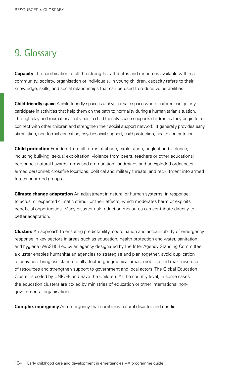# 9. Glossary

**Capacity** The combination of all the strengths, attributes and resources available within a community, society, organisation or individuals. In young children, capacity refers to their knowledge, skills, and social relationships that can be used to reduce vulnerabilities.

**Child-friendly space** A child-friendly space is a physical safe space where children can quickly participate in activities that help them on the path to normality during a humanitarian situation. Through play and recreational activities, a child-friendly space supports children as they begin to reconnect with other children and strengthen their social support network. It generally provides early stimulation, non-formal education, psychosocial support, child protection, health and nutrition.

**Child protection** Freedom from all forms of abuse, exploitation, neglect and violence, including bullying; sexual exploitation; violence from peers, teachers or other educational personnel; natural hazards; arms and ammunition; landmines and unexploded ordnances; armed personnel; crossfire locations; political and military threats; and recruitment into armed forces or armed groups.

**Climate change adaptation** An adjustment in natural or human systems, in response to actual or expected climatic stimuli or their effects, which moderates harm or exploits beneficial opportunities. Many disaster risk reduction measures can contribute directly to better adaptation.

**Clusters** An approach to ensuring predictability, coordination and accountability of emergency response in key sectors in areas such as education, health protection and water, sanitation and hygiene (WASH). Led by an agency designated by the Inter Agency Standing Committee, a cluster enables humanitarian agencies to strategise and plan together, avoid duplication of activities, bring assistance to all affected geographical areas, mobilise and maximise use of resources and strengthen support to government and local actors. The Global Education Cluster is co-led by UNICEF and Save the Children. At the country level, in some cases the education clusters are co-led by ministries of education or other international nongovernmental organisations.

**Complex emergency** An emergency that combines natural disaster and conflict.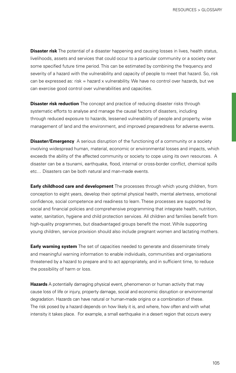**Disaster risk** The potential of a disaster happening and causing losses in lives, health status, livelihoods, assets and services that could occur to a particular community or a society over some specified future time period. This can be estimated by combining the frequency and severity of a hazard with the vulnerability and capacity of people to meet that hazard. So, risk can be expressed as: risk = hazard x vulnerability. We have no control over hazards, but we can exercise good control over vulnerabilities and capacities.

**Disaster risk reduction** The concept and practice of reducing disaster risks through systematic efforts to analyse and manage the causal factors of disasters, including through reduced exposure to hazards, lessened vulnerability of people and property, wise management of land and the environment, and improved preparedness for adverse events.

**Disaster/Emergency** A serious disruption of the functioning of a community or a society involving widespread human, material, economic or environmental losses and impacts, which exceeds the ability of the affected community or society to cope using its own resources. A disaster can be a tsunami, earthquake, flood, internal or cross-border conflict, chemical spills etc… Disasters can be both natural and man-made events.

**Early childhood care and development** The processes through which young children, from conception to eight years, develop their optimal physical health, mental alertness, emotional confidence, social competence and readiness to learn. These processes are supported by social and financial policies and comprehensive programming that integrate health, nutrition, water, sanitation, hygiene and child protection services. All children and families benefit from high-quality programmes, but disadvantaged groups benefit the most. While supporting young children, service provision should also include pregnant women and lactating mothers.

**Early warning system** The set of capacities needed to generate and disseminate timely and meaningful warning information to enable individuals, communities and organisations threatened by a hazard to prepare and to act appropriately, and in sufficient time, to reduce the possibility of harm or loss.

**Hazards** A potentially damaging physical event, phenomenon or human activity that may cause loss of life or injury, property damage, social and economic disruption or environmental degradation. Hazards can have natural or human-made origins or a combination of these. The risk posed by a hazard depends on how likely it is, and where, how often and with what intensity it takes place. For example, a small earthquake in a desert region that occurs every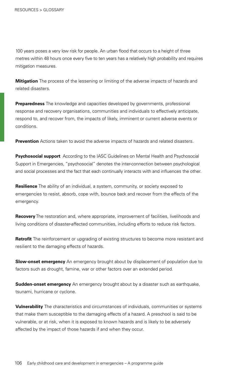100 years poses a very low risk for people. An urban flood that occurs to a height of three metres within 48 hours once every five to ten years has a relatively high probability and requires mitigation measures.

**Mitigation** The process of the lessening or limiting of the adverse impacts of hazards and related disasters.

**Preparedness** The knowledge and capacities developed by governments, professional response and recovery organisations, communities and individuals to effectively anticipate, respond to, and recover from, the impacts of likely, imminent or current adverse events or conditions.

**Prevention** Actions taken to avoid the adverse impacts of hazards and related disasters.

**Psychosocial support** According to the IASC Guidelines on Mental Health and Psychosocial Support in Emergencies, "psychosocial" denotes the inter-connection between psychological and social processes and the fact that each continually interacts with and influences the other.

**Resilience** The ability of an individual, a system, community, or society exposed to emergencies to resist, absorb, cope with, bounce back and recover from the effects of the emergency.

**Recovery** The restoration and, where appropriate, improvement of facilities, livelihoods and living conditions of disaster-affected communities, including efforts to reduce risk factors.

**Retrofit** The reinforcement or upgrading of existing structures to become more resistant and resilient to the damaging effects of hazards.

**Slow-onset emergency** An emergency brought about by displacement of population due to factors such as drought, famine, war or other factors over an extended period.

**Sudden-onset emergency** An emergency brought about by a disaster such as earthquake, tsunami, hurricane or cyclone.

**Vulnerability** The characteristics and circumstances of individuals, communities or systems that make them susceptible to the damaging effects of a hazard. A preschool is said to be vulnerable, or at risk, when it is exposed to known hazards and is likely to be adversely affected by the impact of those hazards if and when they occur.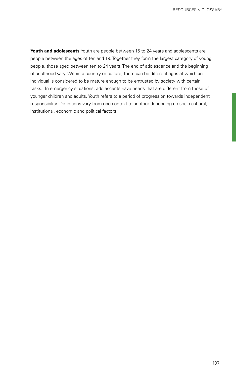**Youth and adolescents** Youth are people between 15 to 24 years and adolescents are people between the ages of ten and 19. Together they form the largest category of young people, those aged between ten to 24 years. The end of adolescence and the beginning of adulthood vary. Within a country or culture, there can be different ages at which an individual is considered to be mature enough to be entrusted by society with certain tasks. In emergency situations, adolescents have needs that are different from those of younger children and adults. Youth refers to a period of progression towards independent responsibility. Definitions vary from one context to another depending on socio-cultural, institutional, economic and political factors.